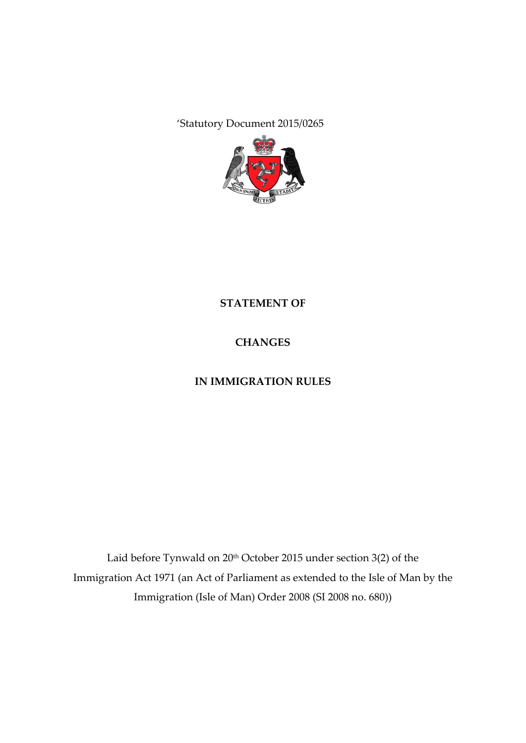'Statutory Document 2015/0265



#### **STATEMENT OF**

#### **CHANGES**

#### **IN IMMIGRATION RULES**

Laid before Tynwald on 20<sup>th</sup> October 2015 under section 3(2) of the Immigration Act 1971 (an Act of Parliament as extended to the Isle of Man by the Immigration (Isle of Man) Order 2008 (SI 2008 no. 680))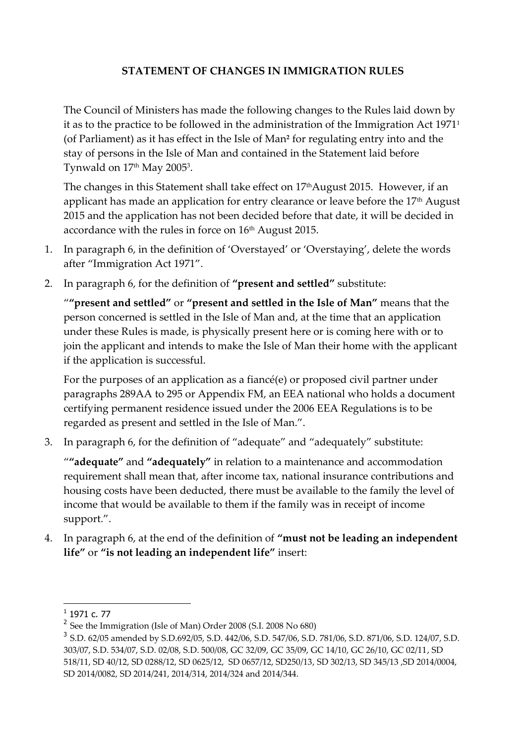### **STATEMENT OF CHANGES IN IMMIGRATION RULES**

The Council of Ministers has made the following changes to the Rules laid down by it as to the practice to be followed in the administration of the Immigration Act 1971<sup>1</sup> (of Parliament) as it has effect in the Isle of Man**<sup>2</sup>** for regulating entry into and the stay of persons in the Isle of Man and contained in the Statement laid before Tynwald on 17th May 2005<sup>3</sup>.

The changes in this Statement shall take effect on 17<sup>th</sup>August 2015. However, if an applicant has made an application for entry clearance or leave before the 17<sup>th</sup> August 2015 and the application has not been decided before that date, it will be decided in accordance with the rules in force on 16<sup>th</sup> August 2015.

- 1. In paragraph 6, in the definition of 'Overstayed' or 'Overstaying', delete the words after "Immigration Act 1971".
- 2. In paragraph 6, for the definition of **"present and settled"** substitute:

"**"present and settled"** or **"present and settled in the Isle of Man"** means that the person concerned is settled in the Isle of Man and, at the time that an application under these Rules is made, is physically present here or is coming here with or to join the applicant and intends to make the Isle of Man their home with the applicant if the application is successful.

For the purposes of an application as a fiancé(e) or proposed civil partner under paragraphs 289AA to 295 or Appendix FM, an EEA national who holds a document certifying permanent residence issued under the 2006 EEA Regulations is to be regarded as present and settled in the Isle of Man.".

3. In paragraph 6, for the definition of "adequate" and "adequately" substitute:

"**"adequate"** and **"adequately"** in relation to a maintenance and accommodation requirement shall mean that, after income tax, national insurance contributions and housing costs have been deducted, there must be available to the family the level of income that would be available to them if the family was in receipt of income support.".

4. In paragraph 6, at the end of the definition of **"must not be leading an independent life"** or **"is not leading an independent life"** insert:

<sup>-</sup> $<sup>1</sup>$  1971 c. 77</sup>

<sup>&</sup>lt;sup>2</sup> See the Immigration (Isle of Man) Order 2008 (S.I. 2008 No 680)

<sup>3</sup> S.D. 62/05 amended by S.D.692/05, S.D. 442/06, S.D. 547/06, S.D. 781/06, S.D. 871/06, S.D. 124/07, S.D. 303/07, S.D. 534/07, S.D. 02/08, S.D. 500/08, GC 32/09, GC 35/09, GC 14/10, GC 26/10, GC 02/11, SD 518/11, SD 40/12, SD 0288/12, SD 0625/12, SD 0657/12, SD250/13, SD 302/13, SD 345/13 ,SD 2014/0004, SD 2014/0082, SD 2014/241, 2014/314, 2014/324 and 2014/344.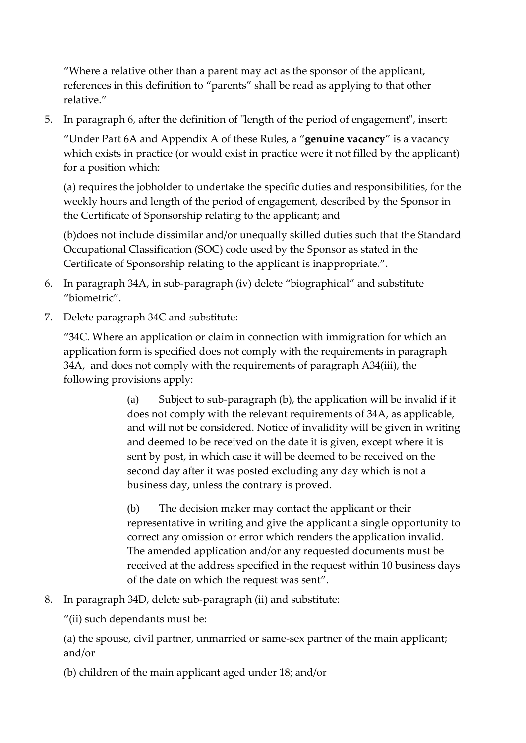"Where a relative other than a parent may act as the sponsor of the applicant, references in this definition to "parents" shall be read as applying to that other relative."

5. In paragraph 6, after the definition of "length of the period of engagement", insert:

"Under Part 6A and Appendix A of these Rules, a "**genuine vacancy**" is a vacancy which exists in practice (or would exist in practice were it not filled by the applicant) for a position which:

(a) requires the jobholder to undertake the specific duties and responsibilities, for the weekly hours and length of the period of engagement, described by the Sponsor in the Certificate of Sponsorship relating to the applicant; and

(b)does not include dissimilar and/or unequally skilled duties such that the Standard Occupational Classification (SOC) code used by the Sponsor as stated in the Certificate of Sponsorship relating to the applicant is inappropriate.".

- 6. In paragraph 34A, in sub-paragraph (iv) delete "biographical" and substitute "biometric".
- 7. Delete paragraph 34C and substitute:

"34C. Where an application or claim in connection with immigration for which an application form is specified does not comply with the requirements in paragraph 34A, and does not comply with the requirements of paragraph A34(iii), the following provisions apply:

> (a) Subject to sub-paragraph (b), the application will be invalid if it does not comply with the relevant requirements of 34A, as applicable, and will not be considered. Notice of invalidity will be given in writing and deemed to be received on the date it is given, except where it is sent by post, in which case it will be deemed to be received on the second day after it was posted excluding any day which is not a business day, unless the contrary is proved.

> (b) The decision maker may contact the applicant or their representative in writing and give the applicant a single opportunity to correct any omission or error which renders the application invalid. The amended application and/or any requested documents must be received at the address specified in the request within 10 business days of the date on which the request was sent".

8. In paragraph 34D, delete sub-paragraph (ii) and substitute:

"(ii) such dependants must be:

(a) the spouse, civil partner, unmarried or same-sex partner of the main applicant; and/or

(b) children of the main applicant aged under 18; and/or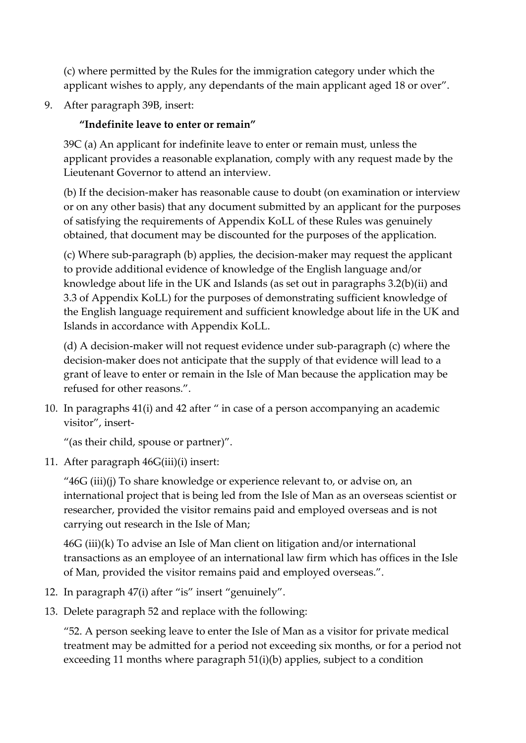(c) where permitted by the Rules for the immigration category under which the applicant wishes to apply, any dependants of the main applicant aged 18 or over".

9. After paragraph 39B, insert:

## **"Indefinite leave to enter or remain"**

39C (a) An applicant for indefinite leave to enter or remain must, unless the applicant provides a reasonable explanation, comply with any request made by the Lieutenant Governor to attend an interview.

(b) If the decision-maker has reasonable cause to doubt (on examination or interview or on any other basis) that any document submitted by an applicant for the purposes of satisfying the requirements of Appendix KoLL of these Rules was genuinely obtained, that document may be discounted for the purposes of the application.

(c) Where sub-paragraph (b) applies, the decision-maker may request the applicant to provide additional evidence of knowledge of the English language and/or knowledge about life in the UK and Islands (as set out in paragraphs 3.2(b)(ii) and 3.3 of Appendix KoLL) for the purposes of demonstrating sufficient knowledge of the English language requirement and sufficient knowledge about life in the UK and Islands in accordance with Appendix KoLL.

(d) A decision-maker will not request evidence under sub-paragraph (c) where the decision-maker does not anticipate that the supply of that evidence will lead to a grant of leave to enter or remain in the Isle of Man because the application may be refused for other reasons.".

10. In paragraphs 41(i) and 42 after " in case of a person accompanying an academic visitor", insert-

"(as their child, spouse or partner)".

11. After paragraph 46G(iii)(i) insert:

"46G (iii)(j) To share knowledge or experience relevant to, or advise on, an international project that is being led from the Isle of Man as an overseas scientist or researcher, provided the visitor remains paid and employed overseas and is not carrying out research in the Isle of Man;

46G (iii)(k) To advise an Isle of Man client on litigation and/or international transactions as an employee of an international law firm which has offices in the Isle of Man, provided the visitor remains paid and employed overseas.".

- 12. In paragraph 47(i) after "is" insert "genuinely".
- 13. Delete paragraph 52 and replace with the following:

"52. A person seeking leave to enter the Isle of Man as a visitor for private medical treatment may be admitted for a period not exceeding six months, or for a period not exceeding 11 months where paragraph 51(i)(b) applies, subject to a condition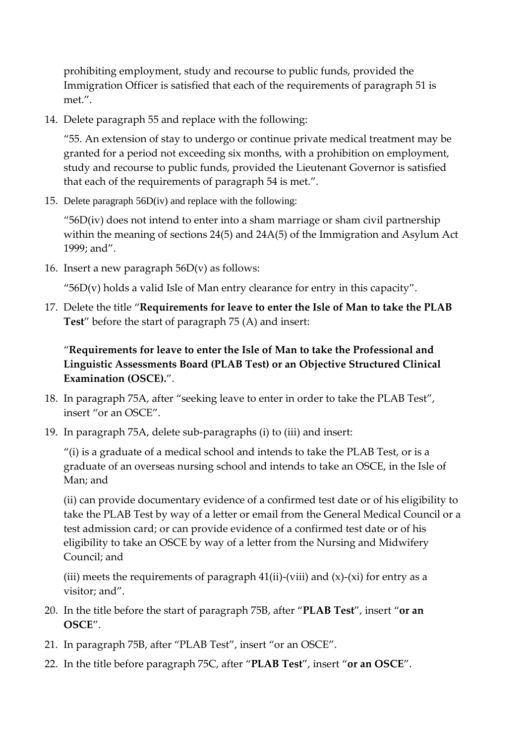prohibiting employment, study and recourse to public funds, provided the Immigration Officer is satisfied that each of the requirements of paragraph 51 is met.".

14. Delete paragraph 55 and replace with the following:

"55. An extension of stay to undergo or continue private medical treatment may be granted for a period not exceeding six months, with a prohibition on employment, study and recourse to public funds, provided the Lieutenant Governor is satisfied that each of the requirements of paragraph 54 is met.".

15. Delete paragraph 56D(iv) and replace with the following:

" $56D(iv)$  does not intend to enter into a sham marriage or sham civil partnership within the meaning of sections 24(5) and 24A(5) of the Immigration and Asylum Act 1999; and".

16. Insert a new paragraph  $56D(v)$  as follows:

" $56D(v)$  holds a valid Isle of Man entry clearance for entry in this capacity".

17. Delete the title "**Requirements for leave to enter the Isle of Man to take the PLAB Test**" before the start of paragraph 75 (A) and insert:

"**Requirements for leave to enter the Isle of Man to take the Professional and Linguistic Assessments Board (PLAB Test) or an Objective Structured Clinical Examination (OSCE).**".

- 18. In paragraph 75A, after "seeking leave to enter in order to take the PLAB Test", insert "or an OSCE".
- 19. In paragraph 75A, delete sub-paragraphs (i) to (iii) and insert:

"(i) is a graduate of a medical school and intends to take the PLAB Test, or is a graduate of an overseas nursing school and intends to take an OSCE, in the Isle of Man; and

(ii) can provide documentary evidence of a confirmed test date or of his eligibility to take the PLAB Test by way of a letter or email from the General Medical Council or a test admission card; or can provide evidence of a confirmed test date or of his eligibility to take an OSCE by way of a letter from the Nursing and Midwifery Council; and

(iii) meets the requirements of paragraph  $41(ii)$ -(viii) and  $(x)$ - $(xi)$  for entry as a visitor; and".

- 20. In the title before the start of paragraph 75B, after "**PLAB Test**", insert "**or an OSCE**".
- 21. In paragraph 75B, after "PLAB Test", insert "or an OSCE".
- 22. In the title before paragraph 75C, after "**PLAB Test**", insert "**or an OSCE**".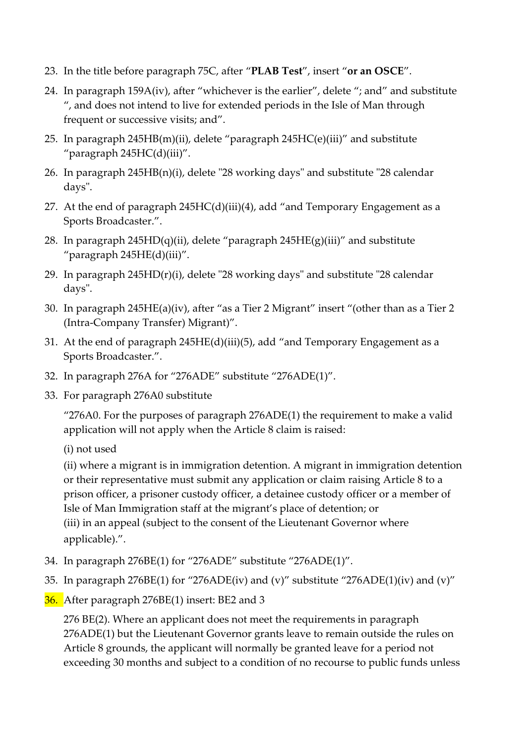- 23. In the title before paragraph 75C, after "**PLAB Test**", insert "**or an OSCE**".
- 24. In paragraph 159A(iv), after "whichever is the earlier", delete "; and" and substitute ", and does not intend to live for extended periods in the Isle of Man through frequent or successive visits; and".
- 25. In paragraph 245HB(m)(ii), delete "paragraph 245HC(e)(iii)" and substitute "paragraph 245HC(d)(iii)".
- 26. In paragraph 245HB(n)(i), delete "28 working days" and substitute "28 calendar days".
- 27. At the end of paragraph 245HC(d)(iii)(4), add "and Temporary Engagement as a Sports Broadcaster.".
- 28. In paragraph 245HD(q)(ii), delete "paragraph 245HE(g)(iii)" and substitute "paragraph 245HE(d)(iii)".
- 29. In paragraph 245HD(r)(i), delete "28 working days" and substitute "28 calendar days".
- 30. In paragraph 245HE(a)(iv), after "as a Tier 2 Migrant" insert "(other than as a Tier 2 (Intra-Company Transfer) Migrant)".
- 31. At the end of paragraph 245HE(d)(iii)(5), add "and Temporary Engagement as a Sports Broadcaster.".
- 32. In paragraph 276A for "276ADE" substitute "276ADE(1)".
- 33. For paragraph 276A0 substitute

"276A0. For the purposes of paragraph 276ADE(1) the requirement to make a valid application will not apply when the Article 8 claim is raised:

(i) not used

(ii) where a migrant is in immigration detention. A migrant in immigration detention or their representative must submit any application or claim raising Article 8 to a prison officer, a prisoner custody officer, a detainee custody officer or a member of Isle of Man Immigration staff at the migrant's place of detention; or (iii) in an appeal (subject to the consent of the Lieutenant Governor where applicable).".

- 34. In paragraph 276BE(1) for "276ADE" substitute "276ADE(1)".
- 35. In paragraph 276BE(1) for "276ADE(iv) and (v)" substitute "276ADE(1)(iv) and (v)"
- 36. After paragraph 276BE(1) insert: BE2 and 3

276 BE(2). Where an applicant does not meet the requirements in paragraph 276ADE(1) but the Lieutenant Governor grants leave to remain outside the rules on Article 8 grounds, the applicant will normally be granted leave for a period not exceeding 30 months and subject to a condition of no recourse to public funds unless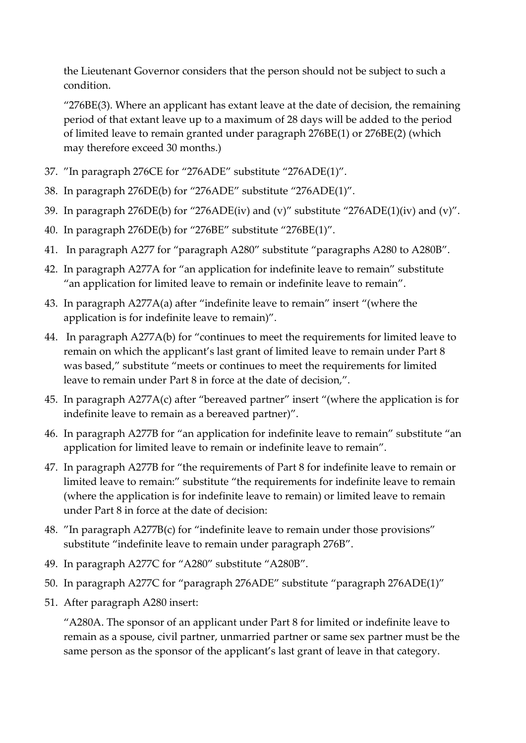the Lieutenant Governor considers that the person should not be subject to such a condition.

"276BE(3). Where an applicant has extant leave at the date of decision, the remaining period of that extant leave up to a maximum of 28 days will be added to the period of limited leave to remain granted under paragraph 276BE(1) or 276BE(2) (which may therefore exceed 30 months.)

- 37. "In paragraph 276CE for "276ADE" substitute "276ADE(1)".
- 38. In paragraph 276DE(b) for "276ADE" substitute "276ADE(1)".
- 39. In paragraph 276DE(b) for "276ADE(iv) and (v)" substitute "276ADE(1)(iv) and (v)".
- 40. In paragraph 276DE(b) for "276BE" substitute "276BE(1)".
- 41. In paragraph A277 for "paragraph A280" substitute "paragraphs A280 to A280B".
- 42. In paragraph A277A for "an application for indefinite leave to remain" substitute "an application for limited leave to remain or indefinite leave to remain".
- 43. In paragraph A277A(a) after "indefinite leave to remain" insert "(where the application is for indefinite leave to remain)".
- 44. In paragraph A277A(b) for "continues to meet the requirements for limited leave to remain on which the applicant's last grant of limited leave to remain under Part 8 was based," substitute "meets or continues to meet the requirements for limited leave to remain under Part 8 in force at the date of decision,".
- 45. In paragraph A277A(c) after "bereaved partner" insert "(where the application is for indefinite leave to remain as a bereaved partner)".
- 46. In paragraph A277B for "an application for indefinite leave to remain" substitute "an application for limited leave to remain or indefinite leave to remain".
- 47. In paragraph A277B for "the requirements of Part 8 for indefinite leave to remain or limited leave to remain:" substitute "the requirements for indefinite leave to remain (where the application is for indefinite leave to remain) or limited leave to remain under Part 8 in force at the date of decision:
- 48. "In paragraph A277B(c) for "indefinite leave to remain under those provisions" substitute "indefinite leave to remain under paragraph 276B".
- 49. In paragraph A277C for "A280" substitute "A280B".
- 50. In paragraph A277C for "paragraph 276ADE" substitute "paragraph 276ADE(1)"
- 51. After paragraph A280 insert:

"A280A. The sponsor of an applicant under Part 8 for limited or indefinite leave to remain as a spouse, civil partner, unmarried partner or same sex partner must be the same person as the sponsor of the applicant's last grant of leave in that category.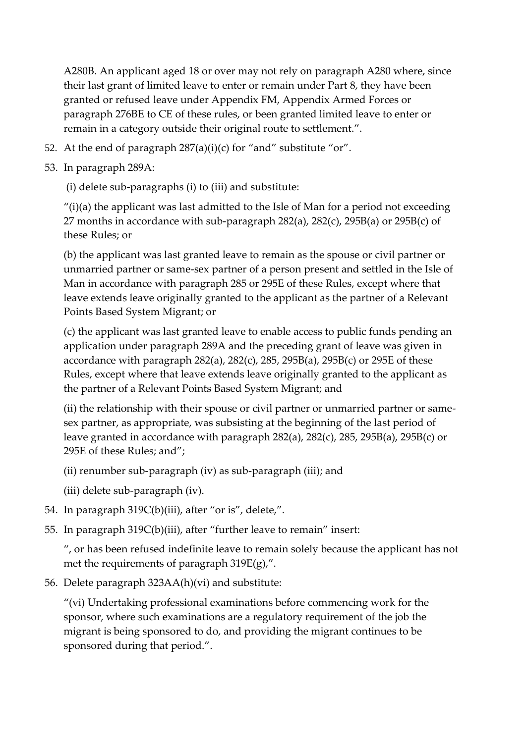A280B. An applicant aged 18 or over may not rely on paragraph A280 where, since their last grant of limited leave to enter or remain under Part 8, they have been granted or refused leave under Appendix FM, Appendix Armed Forces or paragraph 276BE to CE of these rules, or been granted limited leave to enter or remain in a category outside their original route to settlement.".

- 52. At the end of paragraph  $287(a)(i)(c)$  for "and" substitute "or".
- 53. In paragraph 289A:

(i) delete sub-paragraphs (i) to (iii) and substitute:

 $''(i)(a)$  the applicant was last admitted to the Isle of Man for a period not exceeding 27 months in accordance with sub-paragraph 282(a), 282(c), 295B(a) or 295B(c) of these Rules; or

(b) the applicant was last granted leave to remain as the spouse or civil partner or unmarried partner or same-sex partner of a person present and settled in the Isle of Man in accordance with paragraph 285 or 295E of these Rules, except where that leave extends leave originally granted to the applicant as the partner of a Relevant Points Based System Migrant; or

(c) the applicant was last granted leave to enable access to public funds pending an application under paragraph 289A and the preceding grant of leave was given in accordance with paragraph 282(a), 282(c), 285, 295B(a), 295B(c) or 295E of these Rules, except where that leave extends leave originally granted to the applicant as the partner of a Relevant Points Based System Migrant; and

(ii) the relationship with their spouse or civil partner or unmarried partner or samesex partner, as appropriate, was subsisting at the beginning of the last period of leave granted in accordance with paragraph 282(a), 282(c), 285, 295B(a), 295B(c) or 295E of these Rules; and";

- (ii) renumber sub-paragraph (iv) as sub-paragraph (iii); and
- (iii) delete sub-paragraph (iv).
- 54. In paragraph 319C(b)(iii), after "or is", delete,".
- 55. In paragraph 319C(b)(iii), after "further leave to remain" insert:

", or has been refused indefinite leave to remain solely because the applicant has not met the requirements of paragraph 319E(g),".

56. Delete paragraph 323AA(h)(vi) and substitute:

"(vi) Undertaking professional examinations before commencing work for the sponsor, where such examinations are a regulatory requirement of the job the migrant is being sponsored to do, and providing the migrant continues to be sponsored during that period.".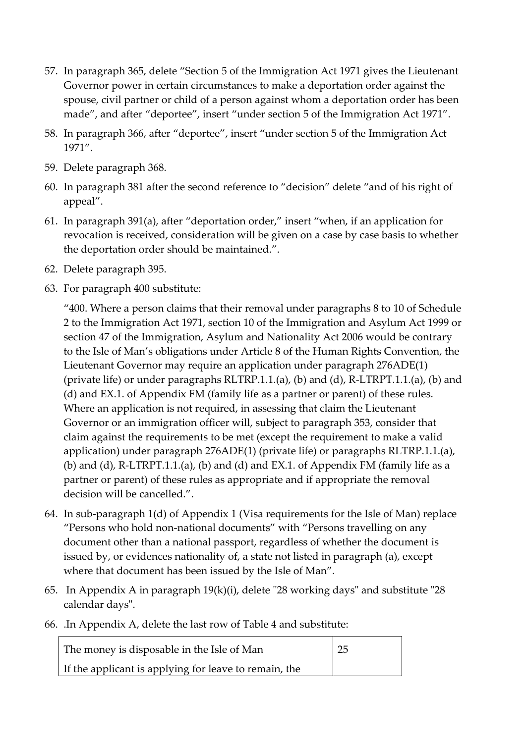- 57. In paragraph 365, delete "Section 5 of the Immigration Act 1971 gives the Lieutenant Governor power in certain circumstances to make a deportation order against the spouse, civil partner or child of a person against whom a deportation order has been made", and after "deportee", insert "under section 5 of the Immigration Act 1971".
- 58. In paragraph 366, after "deportee", insert "under section 5 of the Immigration Act 1971".
- 59. Delete paragraph 368.
- 60. In paragraph 381 after the second reference to "decision" delete "and of his right of appeal".
- 61. In paragraph 391(a), after "deportation order," insert "when, if an application for revocation is received, consideration will be given on a case by case basis to whether the deportation order should be maintained.".
- 62. Delete paragraph 395.
- 63. For paragraph 400 substitute:

"400. Where a person claims that their removal under paragraphs 8 to 10 of Schedule 2 to the Immigration Act 1971, section 10 of the Immigration and Asylum Act 1999 or section 47 of the Immigration, Asylum and Nationality Act 2006 would be contrary to the Isle of Man's obligations under Article 8 of the Human Rights Convention, the Lieutenant Governor may require an application under paragraph 276ADE(1) (private life) or under paragraphs RLTRP.1.1.(a), (b) and (d), R-LTRPT.1.1.(a), (b) and (d) and EX.1. of Appendix FM (family life as a partner or parent) of these rules. Where an application is not required, in assessing that claim the Lieutenant Governor or an immigration officer will, subject to paragraph 353, consider that claim against the requirements to be met (except the requirement to make a valid application) under paragraph 276ADE(1) (private life) or paragraphs RLTRP.1.1.(a), (b) and (d),  $R-LTRPT.1.1(a)$ , (b) and (d) and EX.1. of Appendix FM (family life as a partner or parent) of these rules as appropriate and if appropriate the removal decision will be cancelled.".

- 64. In sub-paragraph 1(d) of Appendix 1 (Visa requirements for the Isle of Man) replace "Persons who hold non-national documents" with "Persons travelling on any document other than a national passport, regardless of whether the document is issued by, or evidences nationality of, a state not listed in paragraph (a), except where that document has been issued by the Isle of Man".
- 65. In Appendix A in paragraph 19(k)(i), delete "28 working days" and substitute "28 calendar days".
- 66. .In Appendix A, delete the last row of Table 4 and substitute:

| The money is disposable in the Isle of Man            | 25 |
|-------------------------------------------------------|----|
| If the applicant is applying for leave to remain, the |    |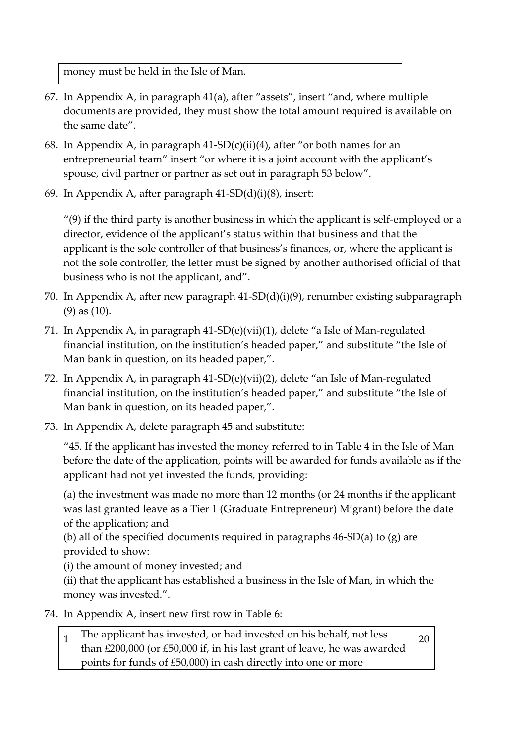money must be held in the Isle of Man.

- 67. In Appendix A, in paragraph 41(a), after "assets", insert "and, where multiple documents are provided, they must show the total amount required is available on the same date".
- 68. In Appendix A, in paragraph 41-SD(c)(ii)(4), after "or both names for an entrepreneurial team" insert "or where it is a joint account with the applicant's spouse, civil partner or partner as set out in paragraph 53 below".
- 69. In Appendix A, after paragraph 41-SD(d)(i)(8), insert:

"(9) if the third party is another business in which the applicant is self-employed or a director, evidence of the applicant's status within that business and that the applicant is the sole controller of that business's finances, or, where the applicant is not the sole controller, the letter must be signed by another authorised official of that business who is not the applicant, and".

- 70. In Appendix A, after new paragraph 41-SD(d)(i)(9), renumber existing subparagraph (9) as (10).
- 71. In Appendix A, in paragraph 41-SD(e)(vii)(1), delete "a Isle of Man-regulated financial institution, on the institution's headed paper," and substitute "the Isle of Man bank in question, on its headed paper,".
- 72. In Appendix A, in paragraph 41-SD(e)(vii)(2), delete "an Isle of Man-regulated financial institution, on the institution's headed paper," and substitute "the Isle of Man bank in question, on its headed paper,".
- 73. In Appendix A, delete paragraph 45 and substitute:

"45. If the applicant has invested the money referred to in Table 4 in the Isle of Man before the date of the application, points will be awarded for funds available as if the applicant had not yet invested the funds, providing:

(a) the investment was made no more than 12 months (or 24 months if the applicant was last granted leave as a Tier 1 (Graduate Entrepreneur) Migrant) before the date of the application; and

(b) all of the specified documents required in paragraphs 46-SD(a) to (g) are provided to show:

(i) the amount of money invested; and

(ii) that the applicant has established a business in the Isle of Man, in which the money was invested.".

74. In Appendix A, insert new first row in Table 6:

1 The applicant has invested, or had invested on his behalf, not less than £200,000 (or £50,000 if, in his last grant of leave, he was awarded points for funds of £50,000) in cash directly into one or more 20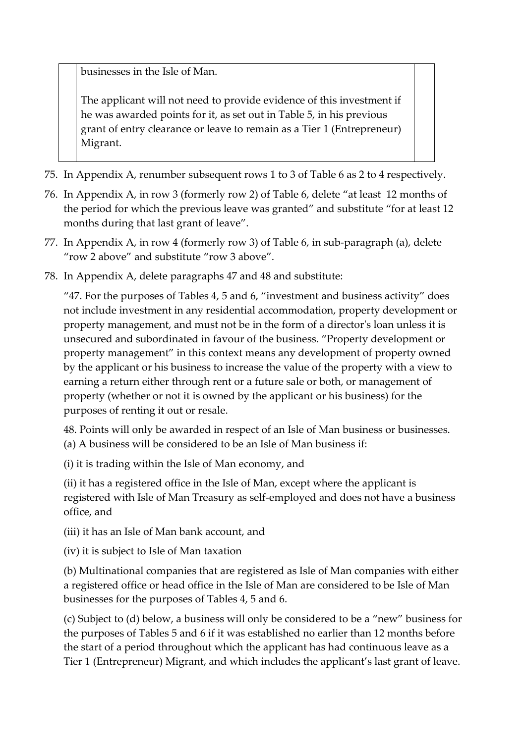businesses in the Isle of Man.

The applicant will not need to provide evidence of this investment if he was awarded points for it, as set out in Table 5, in his previous grant of entry clearance or leave to remain as a Tier 1 (Entrepreneur) Migrant.

- 75. In Appendix A, renumber subsequent rows 1 to 3 of Table 6 as 2 to 4 respectively.
- 76. In Appendix A, in row 3 (formerly row 2) of Table 6, delete "at least 12 months of the period for which the previous leave was granted" and substitute "for at least 12 months during that last grant of leave".
- 77. In Appendix A, in row 4 (formerly row 3) of Table 6, in sub-paragraph (a), delete "row 2 above" and substitute "row 3 above".
- 78. In Appendix A, delete paragraphs 47 and 48 and substitute:

"47. For the purposes of Tables 4, 5 and 6, "investment and business activity" does not include investment in any residential accommodation, property development or property management, and must not be in the form of a director's loan unless it is unsecured and subordinated in favour of the business. "Property development or property management" in this context means any development of property owned by the applicant or his business to increase the value of the property with a view to earning a return either through rent or a future sale or both, or management of property (whether or not it is owned by the applicant or his business) for the purposes of renting it out or resale.

48. Points will only be awarded in respect of an Isle of Man business or businesses. (a) A business will be considered to be an Isle of Man business if:

(i) it is trading within the Isle of Man economy, and

(ii) it has a registered office in the Isle of Man, except where the applicant is registered with Isle of Man Treasury as self-employed and does not have a business office, and

- (iii) it has an Isle of Man bank account, and
- (iv) it is subject to Isle of Man taxation

(b) Multinational companies that are registered as Isle of Man companies with either a registered office or head office in the Isle of Man are considered to be Isle of Man businesses for the purposes of Tables 4, 5 and 6.

(c) Subject to (d) below, a business will only be considered to be a "new" business for the purposes of Tables 5 and 6 if it was established no earlier than 12 months before the start of a period throughout which the applicant has had continuous leave as a Tier 1 (Entrepreneur) Migrant, and which includes the applicant's last grant of leave.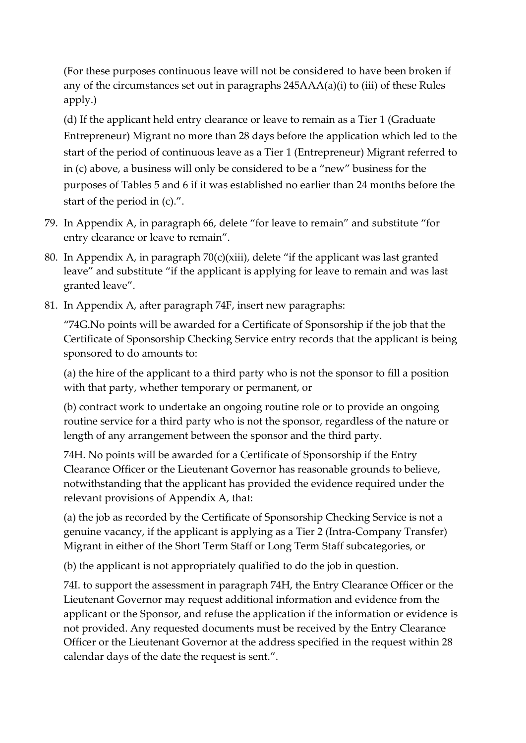(For these purposes continuous leave will not be considered to have been broken if any of the circumstances set out in paragraphs 245AAA(a)(i) to (iii) of these Rules apply.)

(d) If the applicant held entry clearance or leave to remain as a Tier 1 (Graduate Entrepreneur) Migrant no more than 28 days before the application which led to the start of the period of continuous leave as a Tier 1 (Entrepreneur) Migrant referred to in (c) above, a business will only be considered to be a "new" business for the purposes of Tables 5 and 6 if it was established no earlier than 24 months before the start of the period in (c).".

- 79. In Appendix A, in paragraph 66, delete "for leave to remain" and substitute "for entry clearance or leave to remain".
- 80. In Appendix A, in paragraph 70(c)(xiii), delete "if the applicant was last granted leave" and substitute "if the applicant is applying for leave to remain and was last granted leave".
- 81. In Appendix A, after paragraph 74F, insert new paragraphs:

"74G.No points will be awarded for a Certificate of Sponsorship if the job that the Certificate of Sponsorship Checking Service entry records that the applicant is being sponsored to do amounts to:

(a) the hire of the applicant to a third party who is not the sponsor to fill a position with that party, whether temporary or permanent, or

(b) contract work to undertake an ongoing routine role or to provide an ongoing routine service for a third party who is not the sponsor, regardless of the nature or length of any arrangement between the sponsor and the third party.

74H. No points will be awarded for a Certificate of Sponsorship if the Entry Clearance Officer or the Lieutenant Governor has reasonable grounds to believe, notwithstanding that the applicant has provided the evidence required under the relevant provisions of Appendix A, that:

(a) the job as recorded by the Certificate of Sponsorship Checking Service is not a genuine vacancy, if the applicant is applying as a Tier 2 (Intra-Company Transfer) Migrant in either of the Short Term Staff or Long Term Staff subcategories, or

(b) the applicant is not appropriately qualified to do the job in question.

74I. to support the assessment in paragraph 74H, the Entry Clearance Officer or the Lieutenant Governor may request additional information and evidence from the applicant or the Sponsor, and refuse the application if the information or evidence is not provided. Any requested documents must be received by the Entry Clearance Officer or the Lieutenant Governor at the address specified in the request within 28 calendar days of the date the request is sent.".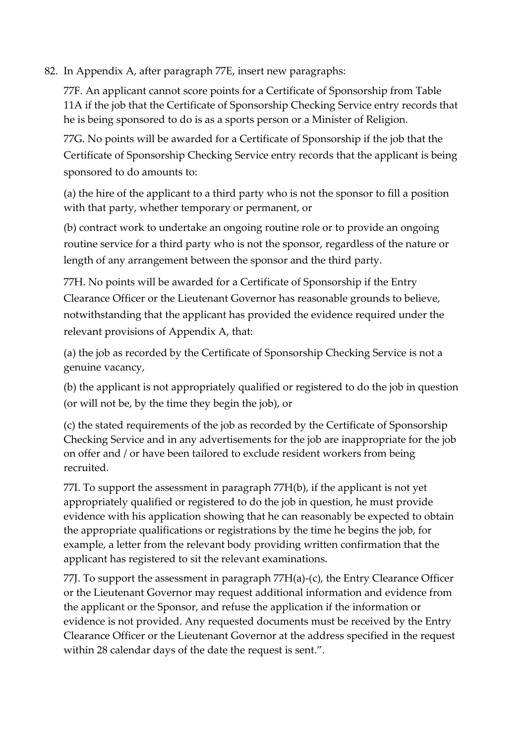82. In Appendix A, after paragraph 77E, insert new paragraphs:

77F. An applicant cannot score points for a Certificate of Sponsorship from Table 11A if the job that the Certificate of Sponsorship Checking Service entry records that he is being sponsored to do is as a sports person or a Minister of Religion.

77G. No points will be awarded for a Certificate of Sponsorship if the job that the Certificate of Sponsorship Checking Service entry records that the applicant is being sponsored to do amounts to:

(a) the hire of the applicant to a third party who is not the sponsor to fill a position with that party, whether temporary or permanent, or

(b) contract work to undertake an ongoing routine role or to provide an ongoing routine service for a third party who is not the sponsor, regardless of the nature or length of any arrangement between the sponsor and the third party.

77H. No points will be awarded for a Certificate of Sponsorship if the Entry Clearance Officer or the Lieutenant Governor has reasonable grounds to believe, notwithstanding that the applicant has provided the evidence required under the relevant provisions of Appendix A, that:

(a) the job as recorded by the Certificate of Sponsorship Checking Service is not a genuine vacancy,

(b) the applicant is not appropriately qualified or registered to do the job in question (or will not be, by the time they begin the job), or

(c) the stated requirements of the job as recorded by the Certificate of Sponsorship Checking Service and in any advertisements for the job are inappropriate for the job on offer and / or have been tailored to exclude resident workers from being recruited.

77I. To support the assessment in paragraph 77H(b), if the applicant is not yet appropriately qualified or registered to do the job in question, he must provide evidence with his application showing that he can reasonably be expected to obtain the appropriate qualifications or registrations by the time he begins the job, for example, a letter from the relevant body providing written confirmation that the applicant has registered to sit the relevant examinations.

77J. To support the assessment in paragraph 77H(a)-(c), the Entry Clearance Officer or the Lieutenant Governor may request additional information and evidence from the applicant or the Sponsor, and refuse the application if the information or evidence is not provided. Any requested documents must be received by the Entry Clearance Officer or the Lieutenant Governor at the address specified in the request within 28 calendar days of the date the request is sent.".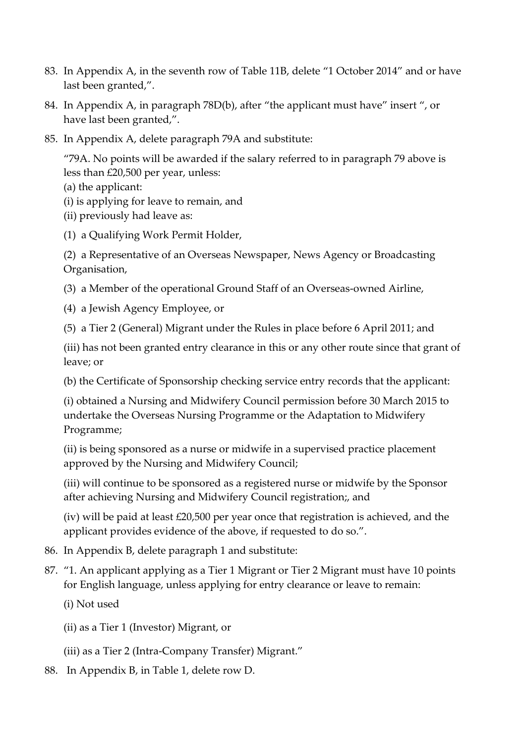- 83. In Appendix A, in the seventh row of Table 11B, delete "1 October 2014" and or have last been granted,".
- 84. In Appendix A, in paragraph 78D(b), after "the applicant must have" insert ", or have last been granted,".
- 85. In Appendix A, delete paragraph 79A and substitute:

"79A. No points will be awarded if the salary referred to in paragraph 79 above is less than £20,500 per year, unless:

- (a) the applicant:
- (i) is applying for leave to remain, and
- (ii) previously had leave as:
- (1) a Qualifying Work Permit Holder,

(2) a Representative of an Overseas Newspaper, News Agency or Broadcasting Organisation,

(3) a Member of the operational Ground Staff of an Overseas-owned Airline,

- (4) a Jewish Agency Employee, or
- (5) a Tier 2 (General) Migrant under the Rules in place before 6 April 2011; and

(iii) has not been granted entry clearance in this or any other route since that grant of leave; or

(b) the Certificate of Sponsorship checking service entry records that the applicant:

(i) obtained a Nursing and Midwifery Council permission before 30 March 2015 to undertake the Overseas Nursing Programme or the Adaptation to Midwifery Programme;

(ii) is being sponsored as a nurse or midwife in a supervised practice placement approved by the Nursing and Midwifery Council;

(iii) will continue to be sponsored as a registered nurse or midwife by the Sponsor after achieving Nursing and Midwifery Council registration;, and

(iv) will be paid at least £20,500 per year once that registration is achieved, and the applicant provides evidence of the above, if requested to do so.".

- 86. In Appendix B, delete paragraph 1 and substitute:
- 87. "1. An applicant applying as a Tier 1 Migrant or Tier 2 Migrant must have 10 points for English language, unless applying for entry clearance or leave to remain:
	- (i) Not used
	- (ii) as a Tier 1 (Investor) Migrant, or
	- (iii) as a Tier 2 (Intra-Company Transfer) Migrant."
- 88. In Appendix B, in Table 1, delete row D.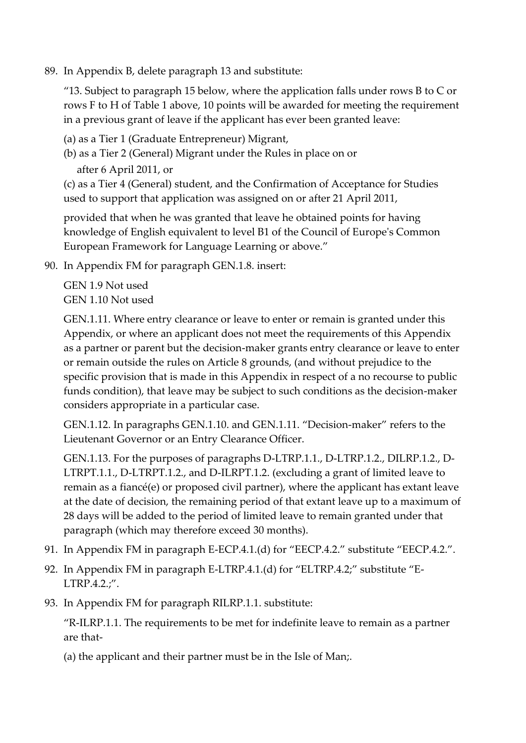89. In Appendix B, delete paragraph 13 and substitute:

"13. Subject to paragraph 15 below, where the application falls under rows B to C or rows F to H of Table 1 above, 10 points will be awarded for meeting the requirement in a previous grant of leave if the applicant has ever been granted leave:

- (a) as a Tier 1 (Graduate Entrepreneur) Migrant,
- (b) as a Tier 2 (General) Migrant under the Rules in place on or after 6 April 2011, or

(c) as a Tier 4 (General) student, and the Confirmation of Acceptance for Studies used to support that application was assigned on or after 21 April 2011,

provided that when he was granted that leave he obtained points for having knowledge of English equivalent to level B1 of the Council of Europe's Common European Framework for Language Learning or above."

90. In Appendix FM for paragraph GEN.1.8. insert:

GEN 1.9 Not used GEN 1.10 Not used

GEN.1.11. Where entry clearance or leave to enter or remain is granted under this Appendix, or where an applicant does not meet the requirements of this Appendix as a partner or parent but the decision-maker grants entry clearance or leave to enter or remain outside the rules on Article 8 grounds, (and without prejudice to the specific provision that is made in this Appendix in respect of a no recourse to public funds condition), that leave may be subject to such conditions as the decision-maker considers appropriate in a particular case.

GEN.1.12. In paragraphs GEN.1.10. and GEN.1.11. "Decision-maker" refers to the Lieutenant Governor or an Entry Clearance Officer.

GEN.1.13. For the purposes of paragraphs D-LTRP.1.1., D-LTRP.1.2., DILRP.1.2., D-LTRPT.1.1., D-LTRPT.1.2., and D-ILRPT.1.2. (excluding a grant of limited leave to remain as a fiancé(e) or proposed civil partner), where the applicant has extant leave at the date of decision, the remaining period of that extant leave up to a maximum of 28 days will be added to the period of limited leave to remain granted under that paragraph (which may therefore exceed 30 months).

- 91. In Appendix FM in paragraph E-ECP.4.1.(d) for "EECP.4.2." substitute "EECP.4.2.".
- 92. In Appendix FM in paragraph E-LTRP.4.1.(d) for "ELTRP.4.2;" substitute "E-LTRP.4.2.;".
- 93. In Appendix FM for paragraph RILRP.1.1. substitute:

"R-ILRP.1.1. The requirements to be met for indefinite leave to remain as a partner are that-

(a) the applicant and their partner must be in the Isle of Man;.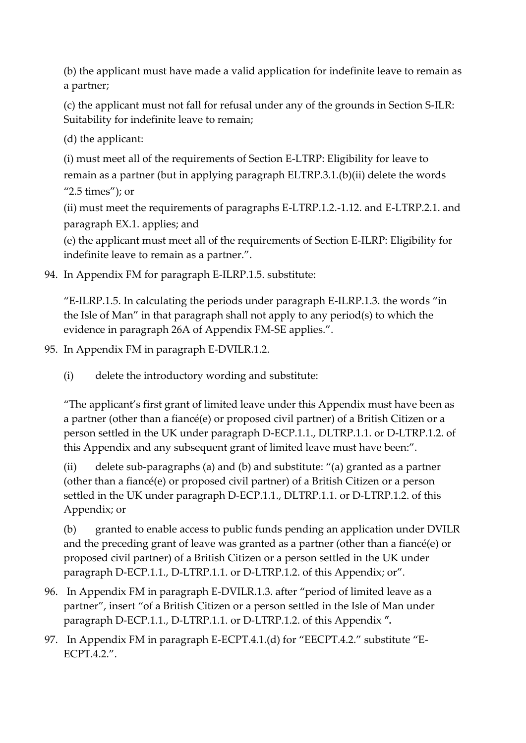(b) the applicant must have made a valid application for indefinite leave to remain as a partner;

(c) the applicant must not fall for refusal under any of the grounds in Section S-ILR: Suitability for indefinite leave to remain;

(d) the applicant:

(i) must meet all of the requirements of Section E-LTRP: Eligibility for leave to remain as a partner (but in applying paragraph ELTRP.3.1.(b)(ii) delete the words "2.5 times"); or

(ii) must meet the requirements of paragraphs E-LTRP.1.2.-1.12. and E-LTRP.2.1. and paragraph EX.1. applies; and

(e) the applicant must meet all of the requirements of Section E-ILRP: Eligibility for indefinite leave to remain as a partner.".

94. In Appendix FM for paragraph E-ILRP.1.5. substitute:

"E-ILRP.1.5. In calculating the periods under paragraph E-ILRP.1.3. the words "in the Isle of Man" in that paragraph shall not apply to any period(s) to which the evidence in paragraph 26A of Appendix FM-SE applies.".

- 95. In Appendix FM in paragraph E-DVILR.1.2.
	- (i) delete the introductory wording and substitute:

"The applicant's first grant of limited leave under this Appendix must have been as a partner (other than a fiancé(e) or proposed civil partner) of a British Citizen or a person settled in the UK under paragraph D-ECP.1.1., DLTRP.1.1. or D-LTRP.1.2. of this Appendix and any subsequent grant of limited leave must have been:".

(ii) delete sub-paragraphs (a) and (b) and substitute: "(a) granted as a partner (other than a fiancé(e) or proposed civil partner) of a British Citizen or a person settled in the UK under paragraph D-ECP.1.1., DLTRP.1.1. or D-LTRP.1.2. of this Appendix; or

(b) granted to enable access to public funds pending an application under DVILR and the preceding grant of leave was granted as a partner (other than a fiancé(e) or proposed civil partner) of a British Citizen or a person settled in the UK under paragraph D-ECP.1.1., D-LTRP.1.1. or D-LTRP.1.2. of this Appendix; or".

- 96. In Appendix FM in paragraph E-DVILR.1.3. after "period of limited leave as a partner", insert "of a British Citizen or a person settled in the Isle of Man under paragraph D-ECP.1.1., D-LTRP.1.1. or D-LTRP.1.2. of this Appendix ".
- 97. In Appendix FM in paragraph E-ECPT.4.1.(d) for "EECPT.4.2." substitute "E-ECPT.4.2.".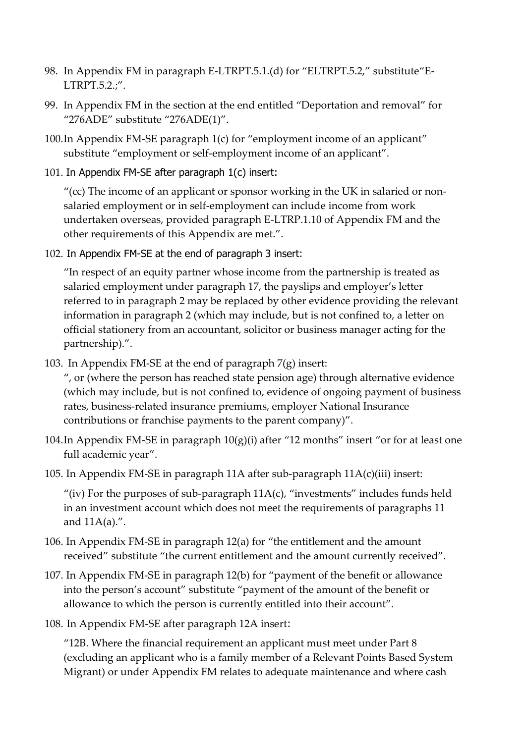- 98. In Appendix FM in paragraph E-LTRPT.5.1.(d) for "ELTRPT.5.2," substitute"E-LTRPT.5.2.;".
- 99. In Appendix FM in the section at the end entitled "Deportation and removal" for "276ADE" substitute "276ADE(1)".
- 100.In Appendix FM-SE paragraph 1(c) for "employment income of an applicant" substitute "employment or self-employment income of an applicant".
- 101. In Appendix FM-SE after paragraph 1(c) insert:

"(cc) The income of an applicant or sponsor working in the UK in salaried or nonsalaried employment or in self-employment can include income from work undertaken overseas, provided paragraph E-LTRP.1.10 of Appendix FM and the other requirements of this Appendix are met.".

102. In Appendix FM-SE at the end of paragraph 3 insert:

"In respect of an equity partner whose income from the partnership is treated as salaried employment under paragraph 17, the payslips and employer's letter referred to in paragraph 2 may be replaced by other evidence providing the relevant information in paragraph 2 (which may include, but is not confined to, a letter on official stationery from an accountant, solicitor or business manager acting for the partnership).".

103. In Appendix FM-SE at the end of paragraph 7(g) insert:

", or (where the person has reached state pension age) through alternative evidence (which may include, but is not confined to, evidence of ongoing payment of business rates, business-related insurance premiums, employer National Insurance contributions or franchise payments to the parent company)".

- 104.In Appendix FM-SE in paragraph 10(g)(i) after "12 months" insert "or for at least one full academic year".
- 105. In Appendix FM-SE in paragraph 11A after sub-paragraph 11A(c)(iii) insert:

"(iv) For the purposes of sub-paragraph  $11A(c)$ , "investments" includes funds held in an investment account which does not meet the requirements of paragraphs 11 and 11A(a).".

- 106. In Appendix FM-SE in paragraph 12(a) for "the entitlement and the amount received" substitute "the current entitlement and the amount currently received".
- 107. In Appendix FM-SE in paragraph 12(b) for "payment of the benefit or allowance into the person's account" substitute "payment of the amount of the benefit or allowance to which the person is currently entitled into their account".
- 108. In Appendix FM-SE after paragraph 12A insert:

"12B. Where the financial requirement an applicant must meet under Part 8 (excluding an applicant who is a family member of a Relevant Points Based System Migrant) or under Appendix FM relates to adequate maintenance and where cash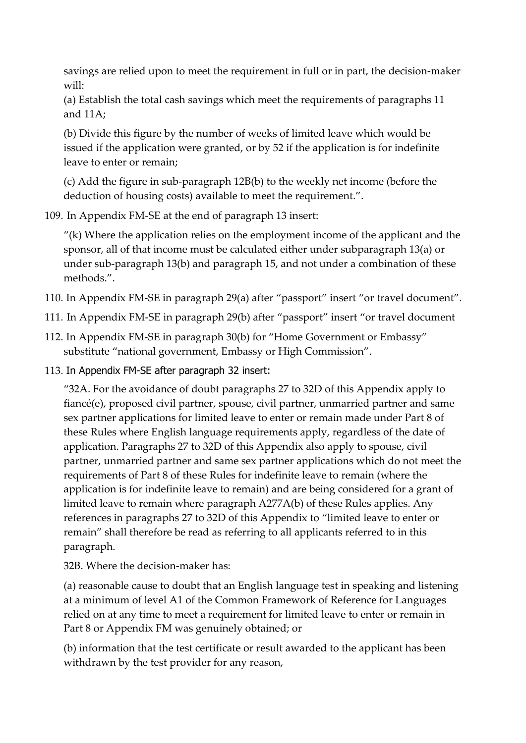savings are relied upon to meet the requirement in full or in part, the decision-maker will:

(a) Establish the total cash savings which meet the requirements of paragraphs 11 and 11A;

(b) Divide this figure by the number of weeks of limited leave which would be issued if the application were granted, or by 52 if the application is for indefinite leave to enter or remain;

(c) Add the figure in sub-paragraph 12B(b) to the weekly net income (before the deduction of housing costs) available to meet the requirement.".

109. In Appendix FM-SE at the end of paragraph 13 insert:

"(k) Where the application relies on the employment income of the applicant and the sponsor, all of that income must be calculated either under subparagraph 13(a) or under sub-paragraph 13(b) and paragraph 15, and not under a combination of these methods.".

- 110. In Appendix FM-SE in paragraph 29(a) after "passport" insert "or travel document".
- 111. In Appendix FM-SE in paragraph 29(b) after "passport" insert "or travel document
- 112. In Appendix FM-SE in paragraph 30(b) for "Home Government or Embassy" substitute "national government, Embassy or High Commission".
- 113. In Appendix FM-SE after paragraph 32 insert:

"32A. For the avoidance of doubt paragraphs 27 to 32D of this Appendix apply to fiancé(e), proposed civil partner, spouse, civil partner, unmarried partner and same sex partner applications for limited leave to enter or remain made under Part 8 of these Rules where English language requirements apply, regardless of the date of application. Paragraphs 27 to 32D of this Appendix also apply to spouse, civil partner, unmarried partner and same sex partner applications which do not meet the requirements of Part 8 of these Rules for indefinite leave to remain (where the application is for indefinite leave to remain) and are being considered for a grant of limited leave to remain where paragraph A277A(b) of these Rules applies. Any references in paragraphs 27 to 32D of this Appendix to "limited leave to enter or remain" shall therefore be read as referring to all applicants referred to in this paragraph.

32B. Where the decision-maker has:

(a) reasonable cause to doubt that an English language test in speaking and listening at a minimum of level A1 of the Common Framework of Reference for Languages relied on at any time to meet a requirement for limited leave to enter or remain in Part 8 or Appendix FM was genuinely obtained; or

(b) information that the test certificate or result awarded to the applicant has been withdrawn by the test provider for any reason,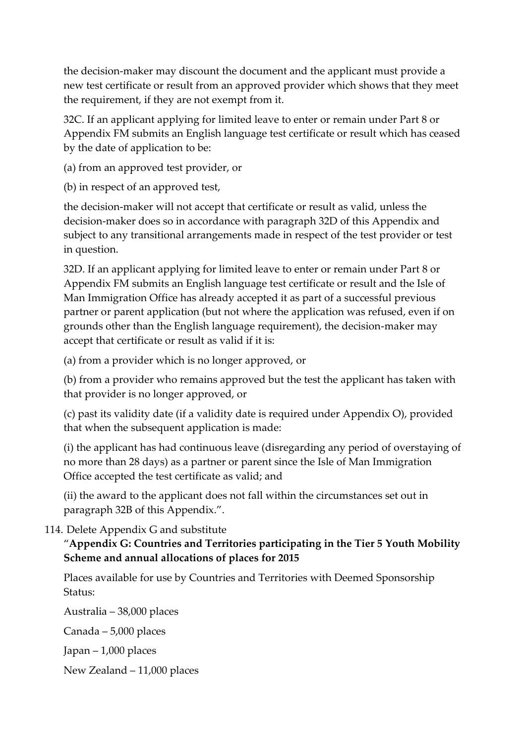the decision-maker may discount the document and the applicant must provide a new test certificate or result from an approved provider which shows that they meet the requirement, if they are not exempt from it.

32C. If an applicant applying for limited leave to enter or remain under Part 8 or Appendix FM submits an English language test certificate or result which has ceased by the date of application to be:

(a) from an approved test provider, or

(b) in respect of an approved test,

the decision-maker will not accept that certificate or result as valid, unless the decision-maker does so in accordance with paragraph 32D of this Appendix and subject to any transitional arrangements made in respect of the test provider or test in question.

32D. If an applicant applying for limited leave to enter or remain under Part 8 or Appendix FM submits an English language test certificate or result and the Isle of Man Immigration Office has already accepted it as part of a successful previous partner or parent application (but not where the application was refused, even if on grounds other than the English language requirement), the decision-maker may accept that certificate or result as valid if it is:

(a) from a provider which is no longer approved, or

(b) from a provider who remains approved but the test the applicant has taken with that provider is no longer approved, or

(c) past its validity date (if a validity date is required under Appendix O), provided that when the subsequent application is made:

(i) the applicant has had continuous leave (disregarding any period of overstaying of no more than 28 days) as a partner or parent since the Isle of Man Immigration Office accepted the test certificate as valid; and

(ii) the award to the applicant does not fall within the circumstances set out in paragraph 32B of this Appendix.".

114. Delete Appendix G and substitute

# "**Appendix G: Countries and Territories participating in the Tier 5 Youth Mobility Scheme and annual allocations of places for 2015**

Places available for use by Countries and Territories with Deemed Sponsorship Status:

Australia – 38,000 places

Canada – 5,000 places

Japan – 1,000 places

New Zealand – 11,000 places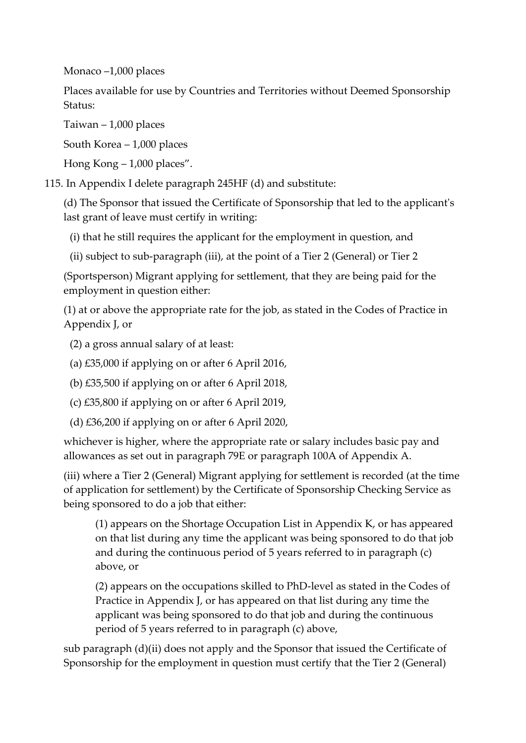Monaco –1,000 places

Places available for use by Countries and Territories without Deemed Sponsorship Status:

Taiwan – 1,000 places

South Korea – 1,000 places

Hong Kong – 1,000 places".

115. In Appendix I delete paragraph 245HF (d) and substitute:

(d) The Sponsor that issued the Certificate of Sponsorship that led to the applicant's last grant of leave must certify in writing:

(i) that he still requires the applicant for the employment in question, and

(ii) subject to sub-paragraph (iii), at the point of a Tier 2 (General) or Tier 2

(Sportsperson) Migrant applying for settlement, that they are being paid for the employment in question either:

(1) at or above the appropriate rate for the job, as stated in the Codes of Practice in Appendix J, or

(2) a gross annual salary of at least:

(a) £35,000 if applying on or after 6 April 2016,

(b) £35,500 if applying on or after 6 April 2018,

- (c) £35,800 if applying on or after 6 April 2019,
- (d) £36,200 if applying on or after 6 April 2020,

whichever is higher, where the appropriate rate or salary includes basic pay and allowances as set out in paragraph 79E or paragraph 100A of Appendix A.

(iii) where a Tier 2 (General) Migrant applying for settlement is recorded (at the time of application for settlement) by the Certificate of Sponsorship Checking Service as being sponsored to do a job that either:

(1) appears on the Shortage Occupation List in Appendix K, or has appeared on that list during any time the applicant was being sponsored to do that job and during the continuous period of 5 years referred to in paragraph (c) above, or

(2) appears on the occupations skilled to PhD-level as stated in the Codes of Practice in Appendix J, or has appeared on that list during any time the applicant was being sponsored to do that job and during the continuous period of 5 years referred to in paragraph (c) above,

sub paragraph (d)(ii) does not apply and the Sponsor that issued the Certificate of Sponsorship for the employment in question must certify that the Tier 2 (General)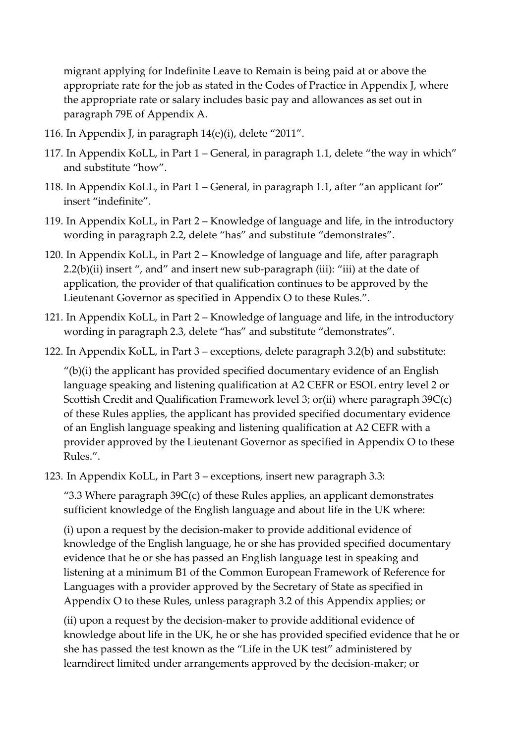migrant applying for Indefinite Leave to Remain is being paid at or above the appropriate rate for the job as stated in the Codes of Practice in Appendix J, where the appropriate rate or salary includes basic pay and allowances as set out in paragraph 79E of Appendix A.

- 116. In Appendix J, in paragraph 14(e)(i), delete "2011".
- 117. In Appendix KoLL, in Part 1 General, in paragraph 1.1, delete "the way in which" and substitute "how".
- 118. In Appendix KoLL, in Part 1 General, in paragraph 1.1, after "an applicant for" insert "indefinite".
- 119. In Appendix KoLL, in Part 2 Knowledge of language and life, in the introductory wording in paragraph 2.2, delete "has" and substitute "demonstrates".
- 120. In Appendix KoLL, in Part 2 Knowledge of language and life, after paragraph 2.2(b)(ii) insert ", and" and insert new sub-paragraph (iii): "iii) at the date of application, the provider of that qualification continues to be approved by the Lieutenant Governor as specified in Appendix O to these Rules.".
- 121. In Appendix KoLL, in Part 2 Knowledge of language and life, in the introductory wording in paragraph 2.3, delete "has" and substitute "demonstrates".
- 122. In Appendix KoLL, in Part 3 exceptions, delete paragraph 3.2(b) and substitute:

 $''(b)(i)$  the applicant has provided specified documentary evidence of an English language speaking and listening qualification at A2 CEFR or ESOL entry level 2 or Scottish Credit and Qualification Framework level 3; or(ii) where paragraph 39C(c) of these Rules applies, the applicant has provided specified documentary evidence of an English language speaking and listening qualification at A2 CEFR with a provider approved by the Lieutenant Governor as specified in Appendix O to these Rules.".

123. In Appendix KoLL, in Part 3 – exceptions, insert new paragraph 3.3:

"3.3 Where paragraph  $39C(c)$  of these Rules applies, an applicant demonstrates sufficient knowledge of the English language and about life in the UK where:

(i) upon a request by the decision-maker to provide additional evidence of knowledge of the English language, he or she has provided specified documentary evidence that he or she has passed an English language test in speaking and listening at a minimum B1 of the Common European Framework of Reference for Languages with a provider approved by the Secretary of State as specified in Appendix O to these Rules, unless paragraph 3.2 of this Appendix applies; or

(ii) upon a request by the decision-maker to provide additional evidence of knowledge about life in the UK, he or she has provided specified evidence that he or she has passed the test known as the "Life in the UK test" administered by learndirect limited under arrangements approved by the decision-maker; or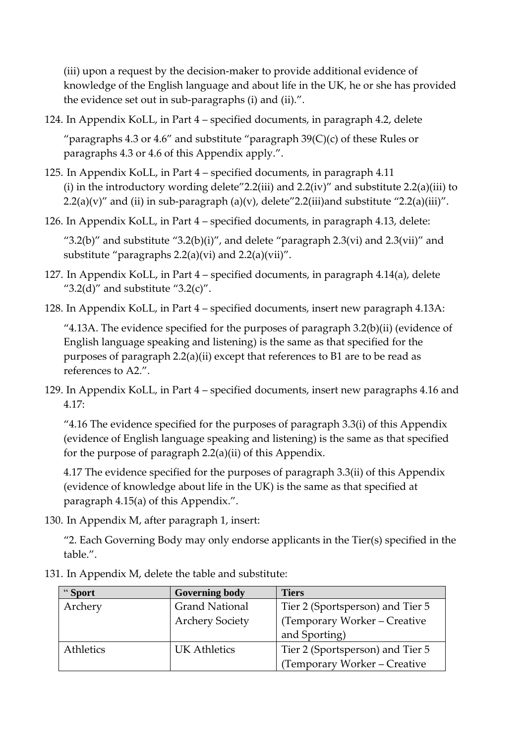(iii) upon a request by the decision-maker to provide additional evidence of knowledge of the English language and about life in the UK, he or she has provided the evidence set out in sub-paragraphs (i) and (ii).".

- 124. In Appendix KoLL, in Part 4 specified documents, in paragraph 4.2, delete "paragraphs 4.3 or 4.6" and substitute "paragraph  $39(C)(c)$  of these Rules or paragraphs 4.3 or 4.6 of this Appendix apply.".
- 125. In Appendix KoLL, in Part 4 specified documents, in paragraph 4.11 (i) in the introductory wording delete"  $2.2$  (iii) and  $2.2$  (iv)" and substitute  $2.2$  (a) (iii) to  $2.2(a)(v)$ " and (ii) in sub-paragraph (a)(v), delete" $2.2(iii)$  and substitute " $2.2(a)(iii)$ ".
- 126. In Appendix KoLL, in Part 4 specified documents, in paragraph 4.13, delete:

"3.2(b)" and substitute "3.2(b)(i)", and delete "paragraph 2.3(vi) and 2.3(vii)" and substitute "paragraphs 2.2(a)(vi) and 2.2(a)(vii)".

- 127. In Appendix KoLL, in Part 4 specified documents, in paragraph 4.14(a), delete " $3.2(d)$ " and substitute " $3.2(c)$ ".
- 128. In Appendix KoLL, in Part 4 specified documents, insert new paragraph 4.13A:

"4.13A. The evidence specified for the purposes of paragraph  $3.2(b)(ii)$  (evidence of English language speaking and listening) is the same as that specified for the purposes of paragraph 2.2(a)(ii) except that references to B1 are to be read as references to A2.".

129. In Appendix KoLL, in Part 4 – specified documents, insert new paragraphs 4.16 and 4.17:

"4.16 The evidence specified for the purposes of paragraph 3.3(i) of this Appendix (evidence of English language speaking and listening) is the same as that specified for the purpose of paragraph 2.2(a)(ii) of this Appendix.

4.17 The evidence specified for the purposes of paragraph 3.3(ii) of this Appendix (evidence of knowledge about life in the UK) is the same as that specified at paragraph 4.15(a) of this Appendix.".

130. In Appendix M, after paragraph 1, insert:

"2. Each Governing Body may only endorse applicants in the Tier(s) specified in the table.".

| "Sport    | <b>Governing body</b>  | <b>Tiers</b>                     |
|-----------|------------------------|----------------------------------|
| Archery   | <b>Grand National</b>  | Tier 2 (Sportsperson) and Tier 5 |
|           | <b>Archery Society</b> | (Temporary Worker - Creative     |
|           |                        | and Sporting)                    |
| Athletics | <b>UK Athletics</b>    | Tier 2 (Sportsperson) and Tier 5 |
|           |                        | (Temporary Worker – Creative     |

131. In Appendix M, delete the table and substitute: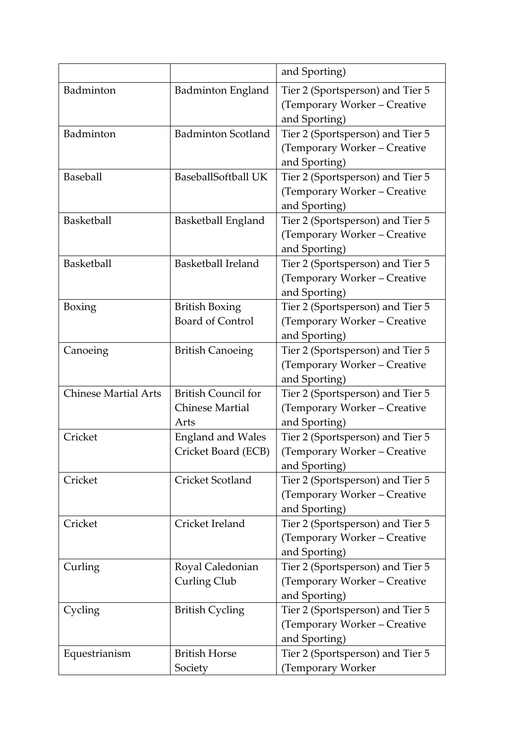|                             |                                                              | and Sporting)                                                                     |
|-----------------------------|--------------------------------------------------------------|-----------------------------------------------------------------------------------|
| Badminton                   | <b>Badminton England</b>                                     | Tier 2 (Sportsperson) and Tier 5<br>(Temporary Worker - Creative<br>and Sporting) |
| Badminton                   | <b>Badminton Scotland</b>                                    | Tier 2 (Sportsperson) and Tier 5<br>(Temporary Worker - Creative<br>and Sporting) |
| Baseball                    | BaseballSoftball UK                                          | Tier 2 (Sportsperson) and Tier 5<br>(Temporary Worker - Creative<br>and Sporting) |
| Basketball                  | <b>Basketball England</b>                                    | Tier 2 (Sportsperson) and Tier 5<br>(Temporary Worker - Creative<br>and Sporting) |
| Basketball                  | Basketball Ireland                                           | Tier 2 (Sportsperson) and Tier 5<br>(Temporary Worker - Creative<br>and Sporting) |
| Boxing                      | <b>British Boxing</b><br><b>Board of Control</b>             | Tier 2 (Sportsperson) and Tier 5<br>(Temporary Worker - Creative<br>and Sporting) |
| Canoeing                    | <b>British Canoeing</b>                                      | Tier 2 (Sportsperson) and Tier 5<br>(Temporary Worker - Creative<br>and Sporting) |
| <b>Chinese Martial Arts</b> | <b>British Council for</b><br><b>Chinese Martial</b><br>Arts | Tier 2 (Sportsperson) and Tier 5<br>(Temporary Worker - Creative<br>and Sporting) |
| Cricket                     | <b>England and Wales</b><br>Cricket Board (ECB)              | Tier 2 (Sportsperson) and Tier 5<br>(Temporary Worker - Creative<br>and Sporting) |
| Cricket                     | Cricket Scotland                                             | Tier 2 (Sportsperson) and Tier 5<br>(Temporary Worker - Creative<br>and Sporting) |
| Cricket                     | Cricket Ireland                                              | Tier 2 (Sportsperson) and Tier 5<br>(Temporary Worker - Creative<br>and Sporting) |
| Curling                     | Royal Caledonian<br>Curling Club                             | Tier 2 (Sportsperson) and Tier 5<br>(Temporary Worker - Creative<br>and Sporting) |
| Cycling                     | <b>British Cycling</b>                                       | Tier 2 (Sportsperson) and Tier 5<br>(Temporary Worker - Creative<br>and Sporting) |
| Equestrianism               | <b>British Horse</b><br>Society                              | Tier 2 (Sportsperson) and Tier 5<br>(Temporary Worker                             |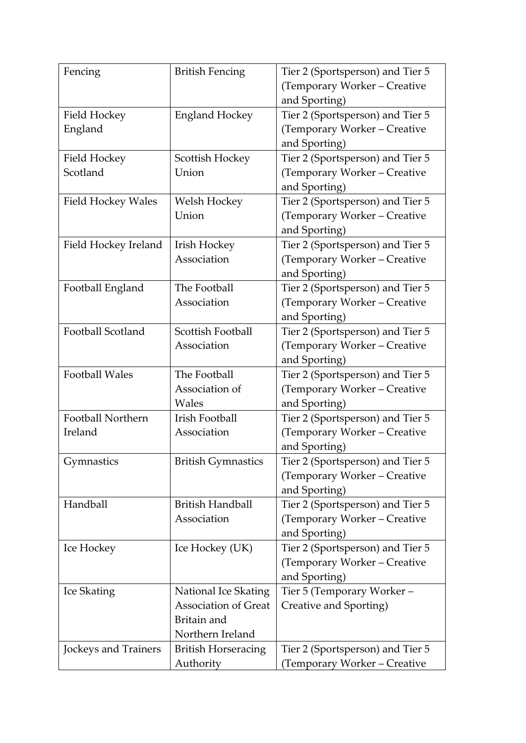| Fencing                   | <b>British Fencing</b>      | Tier 2 (Sportsperson) and Tier 5 |
|---------------------------|-----------------------------|----------------------------------|
|                           |                             | (Temporary Worker - Creative     |
|                           |                             | and Sporting)                    |
| Field Hockey              | <b>England Hockey</b>       | Tier 2 (Sportsperson) and Tier 5 |
| England                   |                             | (Temporary Worker - Creative     |
|                           |                             | and Sporting)                    |
| Field Hockey              | Scottish Hockey             | Tier 2 (Sportsperson) and Tier 5 |
| Scotland                  | Union                       | (Temporary Worker - Creative     |
|                           |                             | and Sporting)                    |
| <b>Field Hockey Wales</b> | Welsh Hockey                | Tier 2 (Sportsperson) and Tier 5 |
|                           | Union                       | (Temporary Worker - Creative     |
|                           |                             | and Sporting)                    |
| Field Hockey Ireland      | Irish Hockey                | Tier 2 (Sportsperson) and Tier 5 |
|                           | Association                 | (Temporary Worker - Creative     |
|                           |                             | and Sporting)                    |
| Football England          | The Football                | Tier 2 (Sportsperson) and Tier 5 |
|                           | Association                 | (Temporary Worker - Creative     |
|                           |                             | and Sporting)                    |
| Football Scotland         | Scottish Football           | Tier 2 (Sportsperson) and Tier 5 |
|                           | Association                 | (Temporary Worker - Creative     |
|                           |                             | and Sporting)                    |
| <b>Football Wales</b>     | The Football                | Tier 2 (Sportsperson) and Tier 5 |
|                           | Association of              | (Temporary Worker - Creative     |
|                           | Wales                       | and Sporting)                    |
| Football Northern         | Irish Football              | Tier 2 (Sportsperson) and Tier 5 |
| Ireland                   | Association                 | (Temporary Worker - Creative     |
|                           |                             | and Sporting)                    |
| Gymnastics                | <b>British Gymnastics</b>   | Tier 2 (Sportsperson) and Tier 5 |
|                           |                             | (Temporary Worker - Creative     |
|                           |                             | and Sporting)                    |
| Handball                  | <b>British Handball</b>     | Tier 2 (Sportsperson) and Tier 5 |
|                           | Association                 | (Temporary Worker - Creative     |
|                           |                             | and Sporting)                    |
| Ice Hockey                | Ice Hockey (UK)             | Tier 2 (Sportsperson) and Tier 5 |
|                           |                             | (Temporary Worker - Creative     |
|                           |                             | and Sporting)                    |
| Ice Skating               | National Ice Skating        | Tier 5 (Temporary Worker –       |
|                           | <b>Association of Great</b> | Creative and Sporting)           |
|                           | Britain and                 |                                  |
|                           | Northern Ireland            |                                  |
| Jockeys and Trainers      | <b>British Horseracing</b>  | Tier 2 (Sportsperson) and Tier 5 |
|                           | Authority                   | (Temporary Worker - Creative     |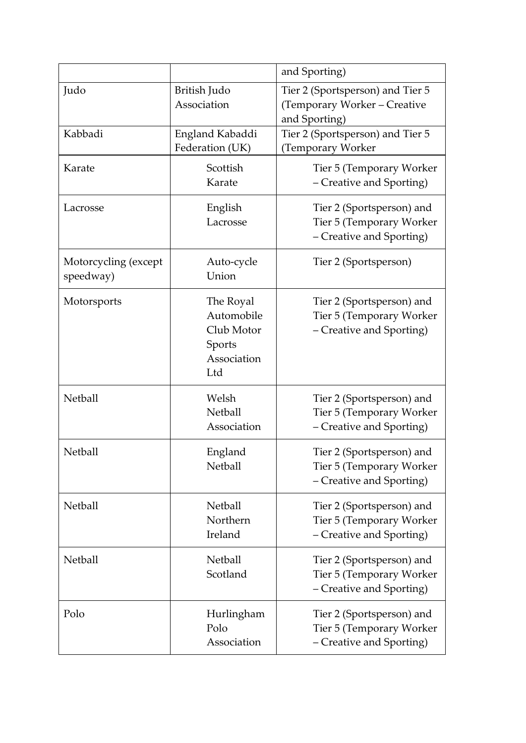|                                   |                                                                       | and Sporting)                                                                     |
|-----------------------------------|-----------------------------------------------------------------------|-----------------------------------------------------------------------------------|
| Judo                              | British Judo<br>Association                                           | Tier 2 (Sportsperson) and Tier 5<br>(Temporary Worker - Creative<br>and Sporting) |
| Kabbadi                           | England Kabaddi<br>Federation (UK)                                    | Tier 2 (Sportsperson) and Tier 5<br>(Temporary Worker                             |
| Karate                            | Scottish<br>Karate                                                    | Tier 5 (Temporary Worker<br>- Creative and Sporting)                              |
| Lacrosse                          | English<br>Lacrosse                                                   | Tier 2 (Sportsperson) and<br>Tier 5 (Temporary Worker<br>- Creative and Sporting) |
| Motorcycling (except<br>speedway) | Auto-cycle<br>Union                                                   | Tier 2 (Sportsperson)                                                             |
| Motorsports                       | The Royal<br>Automobile<br>Club Motor<br>Sports<br>Association<br>Ltd | Tier 2 (Sportsperson) and<br>Tier 5 (Temporary Worker<br>- Creative and Sporting) |
| Netball                           | Welsh<br>Netball<br>Association                                       | Tier 2 (Sportsperson) and<br>Tier 5 (Temporary Worker<br>- Creative and Sporting) |
| Netball                           | England<br>Netball                                                    | Tier 2 (Sportsperson) and<br>Tier 5 (Temporary Worker<br>- Creative and Sporting) |
| Netball                           | Netball<br>Northern<br>Ireland                                        | Tier 2 (Sportsperson) and<br>Tier 5 (Temporary Worker<br>- Creative and Sporting) |
| Netball                           | Netball<br>Scotland                                                   | Tier 2 (Sportsperson) and<br>Tier 5 (Temporary Worker<br>- Creative and Sporting) |
| Polo                              | Hurlingham<br>Polo<br>Association                                     | Tier 2 (Sportsperson) and<br>Tier 5 (Temporary Worker<br>- Creative and Sporting) |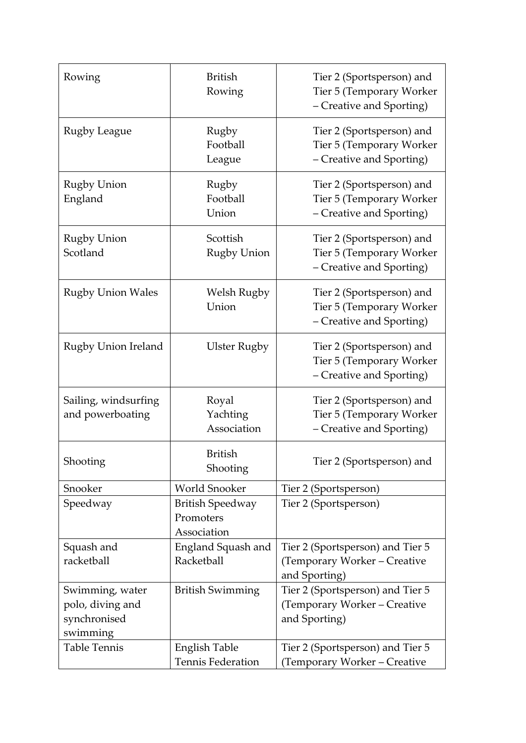| Rowing                                                          | <b>British</b><br>Rowing                            | Tier 2 (Sportsperson) and<br>Tier 5 (Temporary Worker<br>- Creative and Sporting) |
|-----------------------------------------------------------------|-----------------------------------------------------|-----------------------------------------------------------------------------------|
| Rugby League                                                    | Rugby<br>Football<br>League                         | Tier 2 (Sportsperson) and<br>Tier 5 (Temporary Worker<br>- Creative and Sporting) |
| Rugby Union<br>England                                          | Rugby<br>Football<br>Union                          | Tier 2 (Sportsperson) and<br>Tier 5 (Temporary Worker<br>- Creative and Sporting) |
| Rugby Union<br>Scotland                                         | Scottish<br>Rugby Union                             | Tier 2 (Sportsperson) and<br>Tier 5 (Temporary Worker<br>- Creative and Sporting) |
| <b>Rugby Union Wales</b>                                        | Welsh Rugby<br>Union                                | Tier 2 (Sportsperson) and<br>Tier 5 (Temporary Worker<br>- Creative and Sporting) |
| Rugby Union Ireland                                             | <b>Ulster Rugby</b>                                 | Tier 2 (Sportsperson) and<br>Tier 5 (Temporary Worker<br>- Creative and Sporting) |
| Sailing, windsurfing<br>and powerboating                        | Royal<br>Yachting<br>Association                    | Tier 2 (Sportsperson) and<br>Tier 5 (Temporary Worker<br>- Creative and Sporting) |
| Shooting                                                        | <b>British</b><br>Shooting                          | Tier 2 (Sportsperson) and                                                         |
| Snooker                                                         | <b>World Snooker</b>                                | Tier 2 (Sportsperson)                                                             |
| Speedway                                                        | <b>British Speedway</b><br>Promoters<br>Association | Tier 2 (Sportsperson)                                                             |
| Squash and<br>racketball                                        | England Squash and<br>Racketball                    | Tier 2 (Sportsperson) and Tier 5<br>(Temporary Worker - Creative<br>and Sporting) |
| Swimming, water<br>polo, diving and<br>synchronised<br>swimming | <b>British Swimming</b>                             | Tier 2 (Sportsperson) and Tier 5<br>(Temporary Worker - Creative<br>and Sporting) |
| <b>Table Tennis</b>                                             | English Table<br><b>Tennis Federation</b>           | Tier 2 (Sportsperson) and Tier 5<br>(Temporary Worker - Creative                  |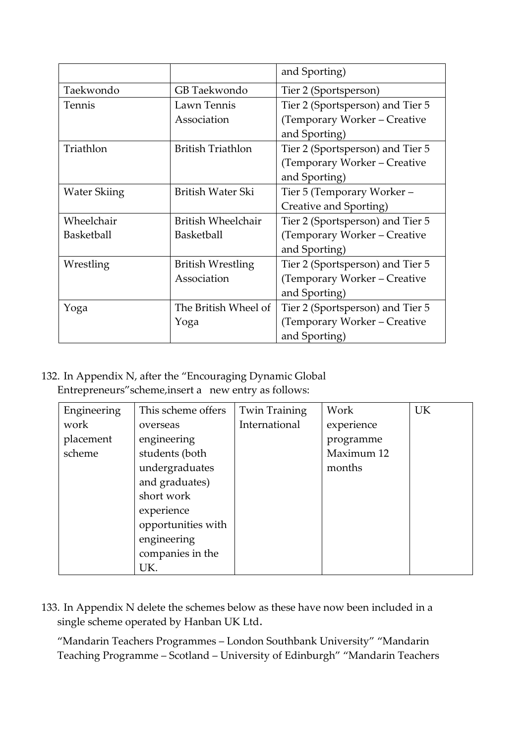|                   |                          | and Sporting)                    |
|-------------------|--------------------------|----------------------------------|
| Taekwondo         | GB Taekwondo             | Tier 2 (Sportsperson)            |
| Tennis            | Lawn Tennis              | Tier 2 (Sportsperson) and Tier 5 |
|                   | Association              | (Temporary Worker - Creative     |
|                   |                          | and Sporting)                    |
| Triathlon         | <b>British Triathlon</b> | Tier 2 (Sportsperson) and Tier 5 |
|                   |                          | (Temporary Worker - Creative     |
|                   |                          | and Sporting)                    |
| Water Skiing      | British Water Ski        | Tier 5 (Temporary Worker –       |
|                   |                          | Creative and Sporting)           |
| Wheelchair        | British Wheelchair       | Tier 2 (Sportsperson) and Tier 5 |
| <b>Basketball</b> | <b>Basketball</b>        | (Temporary Worker – Creative     |
|                   |                          | and Sporting)                    |
| Wrestling         | <b>British Wrestling</b> | Tier 2 (Sportsperson) and Tier 5 |
|                   | Association              | (Temporary Worker – Creative     |
|                   |                          | and Sporting)                    |
| Yoga              | The British Wheel of     | Tier 2 (Sportsperson) and Tier 5 |
|                   | Yoga                     | (Temporary Worker – Creative     |
|                   |                          | and Sporting)                    |

132. In Appendix N, after the "Encouraging Dynamic Global Entrepreneurs"scheme,insert a new entry as follows:

| Engineering | This scheme offers | <b>Twin Training</b> | Work       | <b>UK</b> |
|-------------|--------------------|----------------------|------------|-----------|
| work        | overseas           | International        | experience |           |
| placement   | engineering        |                      | programme  |           |
| scheme      | students (both     |                      | Maximum 12 |           |
|             | undergraduates     |                      | months     |           |
|             | and graduates)     |                      |            |           |
|             | short work         |                      |            |           |
|             | experience         |                      |            |           |
|             | opportunities with |                      |            |           |
|             | engineering        |                      |            |           |
|             | companies in the   |                      |            |           |
|             | UK.                |                      |            |           |

133. In Appendix N delete the schemes below as these have now been included in a single scheme operated by Hanban UK Ltd.

"Mandarin Teachers Programmes – London Southbank University" "Mandarin Teaching Programme – Scotland – University of Edinburgh" "Mandarin Teachers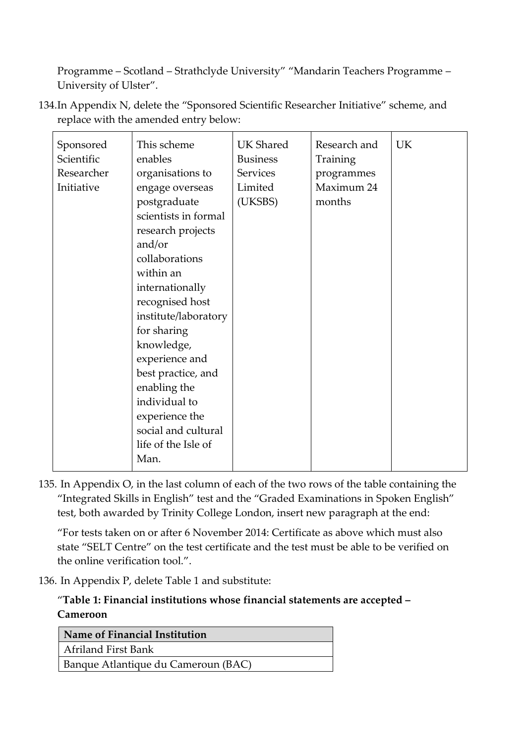Programme – Scotland – Strathclyde University" "Mandarin Teachers Programme – University of Ulster".

| Sponsored  | This scheme          | <b>UK Shared</b> | Research and | <b>UK</b> |
|------------|----------------------|------------------|--------------|-----------|
| Scientific | enables              | <b>Business</b>  | Training     |           |
| Researcher | organisations to     | Services         | programmes   |           |
| Initiative | engage overseas      | Limited          | Maximum 24   |           |
|            | postgraduate         | (UKSBS)          | months       |           |
|            | scientists in formal |                  |              |           |
|            | research projects    |                  |              |           |
|            | and/or               |                  |              |           |
|            | collaborations       |                  |              |           |
|            | within an            |                  |              |           |
|            | internationally      |                  |              |           |
|            | recognised host      |                  |              |           |
|            | institute/laboratory |                  |              |           |
|            | for sharing          |                  |              |           |
|            | knowledge,           |                  |              |           |
|            | experience and       |                  |              |           |
|            | best practice, and   |                  |              |           |
|            | enabling the         |                  |              |           |
|            | individual to        |                  |              |           |
|            | experience the       |                  |              |           |
|            | social and cultural  |                  |              |           |
|            | life of the Isle of  |                  |              |           |
|            | Man.                 |                  |              |           |
|            |                      |                  |              |           |

134.In Appendix N, delete the "Sponsored Scientific Researcher Initiative" scheme, and replace with the amended entry below:

135. In Appendix O, in the last column of each of the two rows of the table containing the "Integrated Skills in English" test and the "Graded Examinations in Spoken English" test, both awarded by Trinity College London, insert new paragraph at the end:

"For tests taken on or after 6 November 2014: Certificate as above which must also state "SELT Centre" on the test certificate and the test must be able to be verified on the online verification tool.".

136. In Appendix P, delete Table 1 and substitute:

# "**Table 1: Financial institutions whose financial statements are accepted – Cameroon**

| Name of Financial Institution       |
|-------------------------------------|
| <b>Afriland First Bank</b>          |
| Banque Atlantique du Cameroun (BAC) |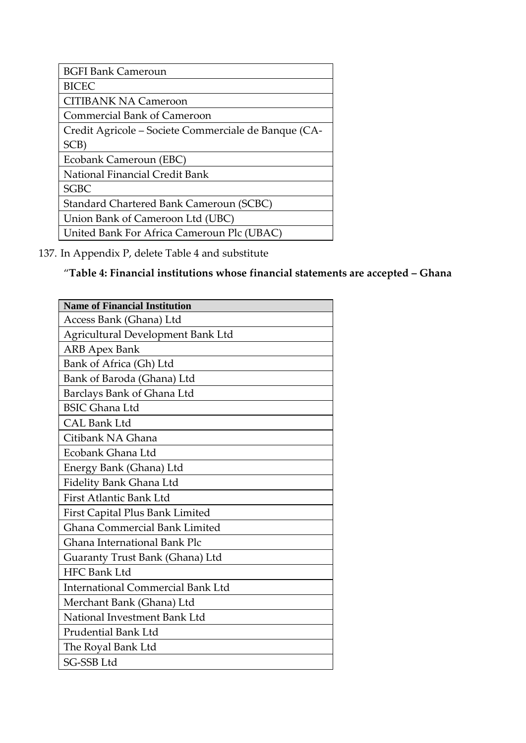| <b>BGFI Bank Cameroun</b>                            |
|------------------------------------------------------|
| <b>BICEC</b>                                         |
| <b>CITIBANK NA Cameroon</b>                          |
| Commercial Bank of Cameroon                          |
| Credit Agricole – Societe Commerciale de Banque (CA- |
| SCB)                                                 |
| Ecobank Cameroun (EBC)                               |
| National Financial Credit Bank                       |
| <b>SGBC</b>                                          |
| Standard Chartered Bank Cameroun (SCBC)              |
| Union Bank of Cameroon Ltd (UBC)                     |
| United Bank For Africa Cameroun Plc (UBAC)           |

137. In Appendix P, delete Table 4 and substitute

# "**Table 4: Financial institutions whose financial statements are accepted – Ghana**

| <b>Name of Financial Institution</b>     |
|------------------------------------------|
| Access Bank (Ghana) Ltd                  |
| Agricultural Development Bank Ltd        |
| <b>ARB Apex Bank</b>                     |
| Bank of Africa (Gh) Ltd                  |
| Bank of Baroda (Ghana) Ltd               |
| Barclays Bank of Ghana Ltd               |
| <b>BSIC Ghana Ltd</b>                    |
| <b>CAL Bank Ltd</b>                      |
| Citibank NA Ghana                        |
| Ecobank Ghana Ltd                        |
| Energy Bank (Ghana) Ltd                  |
| Fidelity Bank Ghana Ltd                  |
| First Atlantic Bank Ltd                  |
| First Capital Plus Bank Limited          |
| <b>Ghana Commercial Bank Limited</b>     |
| Ghana International Bank Plc             |
| Guaranty Trust Bank (Ghana) Ltd          |
| <b>HFC Bank Ltd</b>                      |
| <b>International Commercial Bank Ltd</b> |
| Merchant Bank (Ghana) Ltd                |
| National Investment Bank Ltd             |
| <b>Prudential Bank Ltd</b>               |
| The Royal Bank Ltd                       |
| <b>SG-SSB Ltd</b>                        |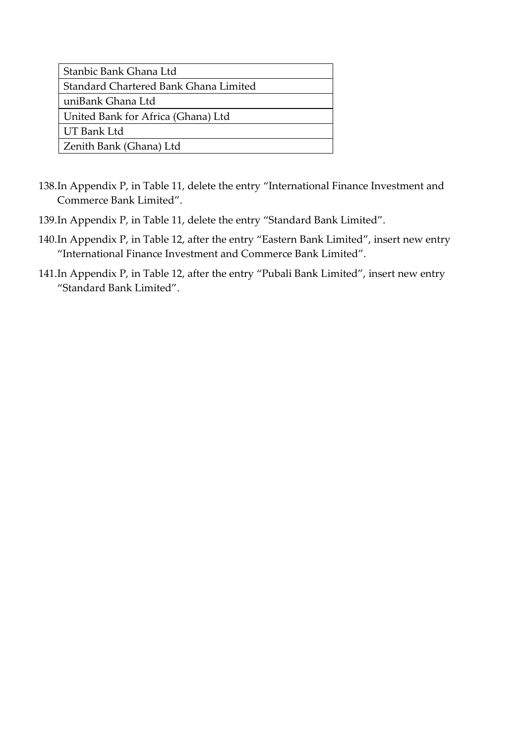| Stanbic Bank Ghana Ltd                |
|---------------------------------------|
| Standard Chartered Bank Ghana Limited |
| uniBank Ghana Ltd                     |
| United Bank for Africa (Ghana) Ltd    |
| UT Bank Ltd                           |
| Zenith Bank (Ghana) Ltd               |

- 138.In Appendix P, in Table 11, delete the entry "International Finance Investment and Commerce Bank Limited".
- 139.In Appendix P, in Table 11, delete the entry "Standard Bank Limited".
- 140.In Appendix P, in Table 12, after the entry "Eastern Bank Limited", insert new entry "International Finance Investment and Commerce Bank Limited".
- 141.In Appendix P, in Table 12, after the entry "Pubali Bank Limited", insert new entry "Standard Bank Limited".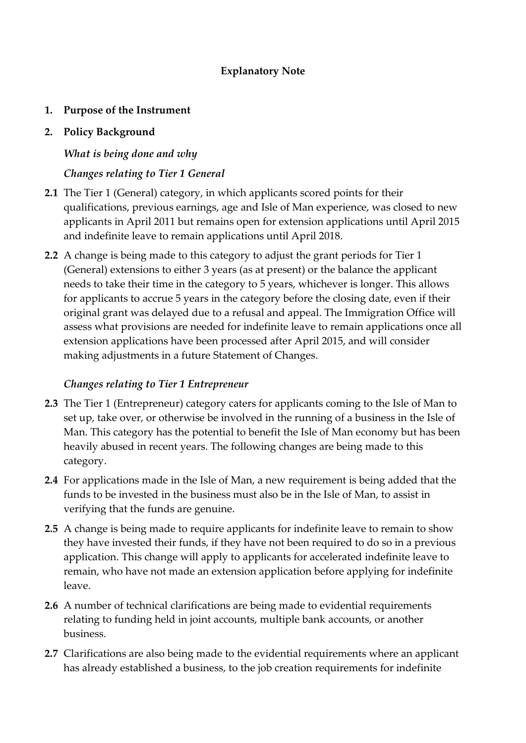## **Explanatory Note**

## **1. Purpose of the Instrument**

#### **2. Policy Background**

# *What is being done and why Changes relating to Tier 1 General*

- **2.1** The Tier 1 (General) category, in which applicants scored points for their qualifications, previous earnings, age and Isle of Man experience, was closed to new applicants in April 2011 but remains open for extension applications until April 2015 and indefinite leave to remain applications until April 2018.
- **2.2** A change is being made to this category to adjust the grant periods for Tier 1 (General) extensions to either 3 years (as at present) or the balance the applicant needs to take their time in the category to 5 years, whichever is longer. This allows for applicants to accrue 5 years in the category before the closing date, even if their original grant was delayed due to a refusal and appeal. The Immigration Office will assess what provisions are needed for indefinite leave to remain applications once all extension applications have been processed after April 2015, and will consider making adjustments in a future Statement of Changes.

#### *Changes relating to Tier 1 Entrepreneur*

- **2.3** The Tier 1 (Entrepreneur) category caters for applicants coming to the Isle of Man to set up, take over, or otherwise be involved in the running of a business in the Isle of Man. This category has the potential to benefit the Isle of Man economy but has been heavily abused in recent years. The following changes are being made to this category.
- **2.4** For applications made in the Isle of Man, a new requirement is being added that the funds to be invested in the business must also be in the Isle of Man, to assist in verifying that the funds are genuine.
- **2.5** A change is being made to require applicants for indefinite leave to remain to show they have invested their funds, if they have not been required to do so in a previous application. This change will apply to applicants for accelerated indefinite leave to remain, who have not made an extension application before applying for indefinite leave.
- **2.6** A number of technical clarifications are being made to evidential requirements relating to funding held in joint accounts, multiple bank accounts, or another business.
- **2.7** Clarifications are also being made to the evidential requirements where an applicant has already established a business, to the job creation requirements for indefinite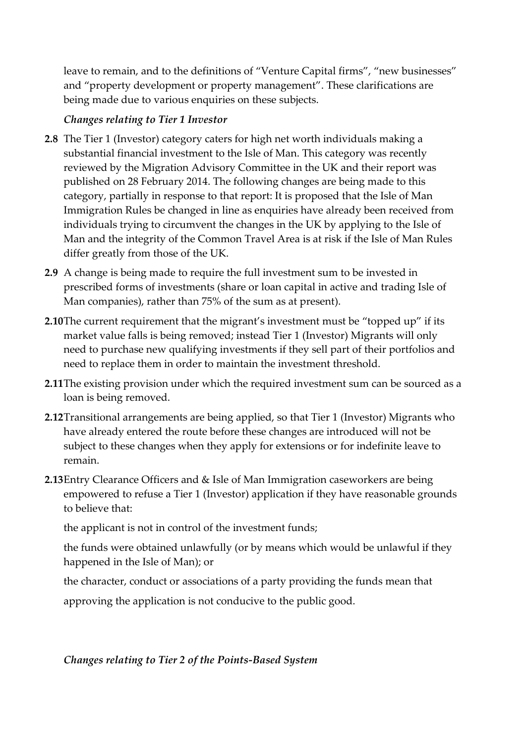leave to remain, and to the definitions of "Venture Capital firms", "new businesses" and "property development or property management". These clarifications are being made due to various enquiries on these subjects.

## *Changes relating to Tier 1 Investor*

- **2.8** The Tier 1 (Investor) category caters for high net worth individuals making a substantial financial investment to the Isle of Man. This category was recently reviewed by the Migration Advisory Committee in the UK and their report was published on 28 February 2014. The following changes are being made to this category, partially in response to that report: It is proposed that the Isle of Man Immigration Rules be changed in line as enquiries have already been received from individuals trying to circumvent the changes in the UK by applying to the Isle of Man and the integrity of the Common Travel Area is at risk if the Isle of Man Rules differ greatly from those of the UK.
- **2.9** A change is being made to require the full investment sum to be invested in prescribed forms of investments (share or loan capital in active and trading Isle of Man companies), rather than 75% of the sum as at present).
- **2.10**The current requirement that the migrant's investment must be "topped up" if its market value falls is being removed; instead Tier 1 (Investor) Migrants will only need to purchase new qualifying investments if they sell part of their portfolios and need to replace them in order to maintain the investment threshold.
- **2.11**The existing provision under which the required investment sum can be sourced as a loan is being removed.
- **2.12**Transitional arrangements are being applied, so that Tier 1 (Investor) Migrants who have already entered the route before these changes are introduced will not be subject to these changes when they apply for extensions or for indefinite leave to remain.
- **2.13**Entry Clearance Officers and & Isle of Man Immigration caseworkers are being empowered to refuse a Tier 1 (Investor) application if they have reasonable grounds to believe that:

the applicant is not in control of the investment funds;

the funds were obtained unlawfully (or by means which would be unlawful if they happened in the Isle of Man); or

the character, conduct or associations of a party providing the funds mean that approving the application is not conducive to the public good.

## *Changes relating to Tier 2 of the Points-Based System*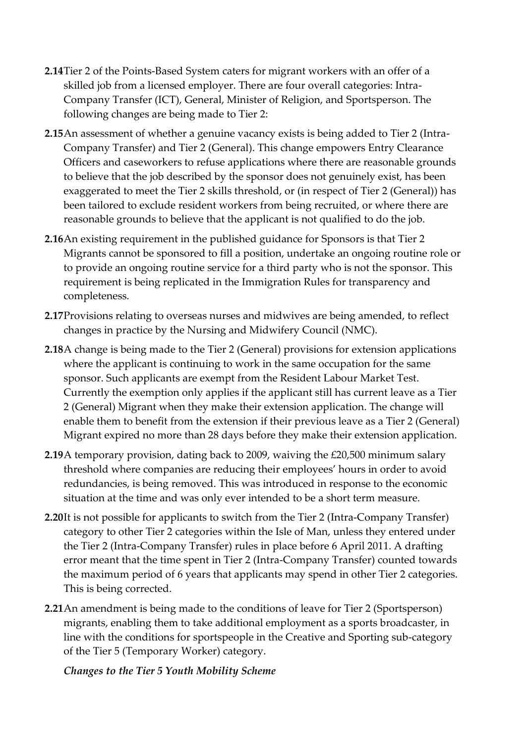- **2.14**Tier 2 of the Points-Based System caters for migrant workers with an offer of a skilled job from a licensed employer. There are four overall categories: Intra-Company Transfer (ICT), General, Minister of Religion, and Sportsperson. The following changes are being made to Tier 2:
- **2.15**An assessment of whether a genuine vacancy exists is being added to Tier 2 (Intra-Company Transfer) and Tier 2 (General). This change empowers Entry Clearance Officers and caseworkers to refuse applications where there are reasonable grounds to believe that the job described by the sponsor does not genuinely exist, has been exaggerated to meet the Tier 2 skills threshold, or (in respect of Tier 2 (General)) has been tailored to exclude resident workers from being recruited, or where there are reasonable grounds to believe that the applicant is not qualified to do the job.
- **2.16**An existing requirement in the published guidance for Sponsors is that Tier 2 Migrants cannot be sponsored to fill a position, undertake an ongoing routine role or to provide an ongoing routine service for a third party who is not the sponsor. This requirement is being replicated in the Immigration Rules for transparency and completeness.
- **2.17**Provisions relating to overseas nurses and midwives are being amended, to reflect changes in practice by the Nursing and Midwifery Council (NMC).
- **2.18**A change is being made to the Tier 2 (General) provisions for extension applications where the applicant is continuing to work in the same occupation for the same sponsor. Such applicants are exempt from the Resident Labour Market Test. Currently the exemption only applies if the applicant still has current leave as a Tier 2 (General) Migrant when they make their extension application. The change will enable them to benefit from the extension if their previous leave as a Tier 2 (General) Migrant expired no more than 28 days before they make their extension application.
- **2.19**A temporary provision, dating back to 2009, waiving the £20,500 minimum salary threshold where companies are reducing their employees' hours in order to avoid redundancies, is being removed. This was introduced in response to the economic situation at the time and was only ever intended to be a short term measure.
- **2.20**It is not possible for applicants to switch from the Tier 2 (Intra-Company Transfer) category to other Tier 2 categories within the Isle of Man, unless they entered under the Tier 2 (Intra-Company Transfer) rules in place before 6 April 2011. A drafting error meant that the time spent in Tier 2 (Intra-Company Transfer) counted towards the maximum period of 6 years that applicants may spend in other Tier 2 categories. This is being corrected.
- **2.21**An amendment is being made to the conditions of leave for Tier 2 (Sportsperson) migrants, enabling them to take additional employment as a sports broadcaster, in line with the conditions for sportspeople in the Creative and Sporting sub-category of the Tier 5 (Temporary Worker) category.

*Changes to the Tier 5 Youth Mobility Scheme*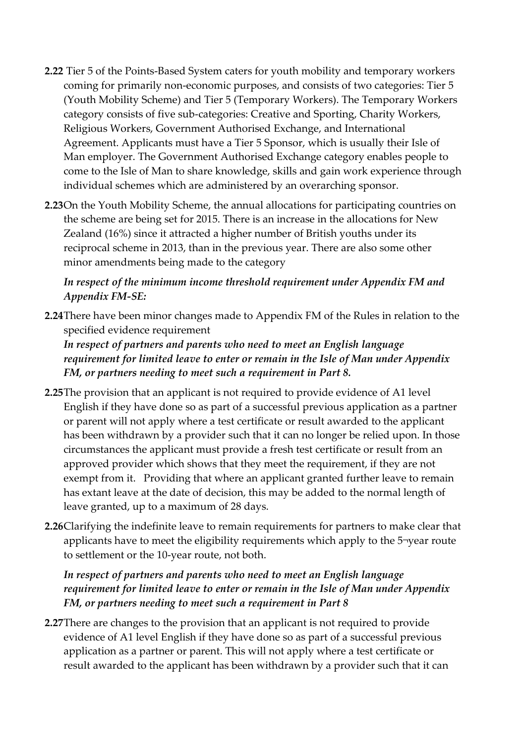- **2.22** Tier 5 of the Points-Based System caters for youth mobility and temporary workers coming for primarily non-economic purposes, and consists of two categories: Tier 5 (Youth Mobility Scheme) and Tier 5 (Temporary Workers). The Temporary Workers category consists of five sub-categories: Creative and Sporting, Charity Workers, Religious Workers, Government Authorised Exchange, and International Agreement. Applicants must have a Tier 5 Sponsor, which is usually their Isle of Man employer. The Government Authorised Exchange category enables people to come to the Isle of Man to share knowledge, skills and gain work experience through individual schemes which are administered by an overarching sponsor.
- **2.23**On the Youth Mobility Scheme, the annual allocations for participating countries on the scheme are being set for 2015. There is an increase in the allocations for New Zealand (16%) since it attracted a higher number of British youths under its reciprocal scheme in 2013, than in the previous year. There are also some other minor amendments being made to the category

# *In respect of the minimum income threshold requirement under Appendix FM and Appendix FM-SE:*

**2.24**There have been minor changes made to Appendix FM of the Rules in relation to the specified evidence requirement

*In respect of partners and parents who need to meet an English language requirement for limited leave to enter or remain in the Isle of Man under Appendix FM, or partners needing to meet such a requirement in Part 8.*

- **2.25**The provision that an applicant is not required to provide evidence of A1 level English if they have done so as part of a successful previous application as a partner or parent will not apply where a test certificate or result awarded to the applicant has been withdrawn by a provider such that it can no longer be relied upon. In those circumstances the applicant must provide a fresh test certificate or result from an approved provider which shows that they meet the requirement, if they are not exempt from it. Providing that where an applicant granted further leave to remain has extant leave at the date of decision, this may be added to the normal length of leave granted, up to a maximum of 28 days.
- **2.26**Clarifying the indefinite leave to remain requirements for partners to make clear that applicants have to meet the eligibility requirements which apply to the 5¬year route to settlement or the 10-year route, not both.

# *In respect of partners and parents who need to meet an English language requirement for limited leave to enter or remain in the Isle of Man under Appendix FM, or partners needing to meet such a requirement in Part 8*

**2.27**There are changes to the provision that an applicant is not required to provide evidence of A1 level English if they have done so as part of a successful previous application as a partner or parent. This will not apply where a test certificate or result awarded to the applicant has been withdrawn by a provider such that it can